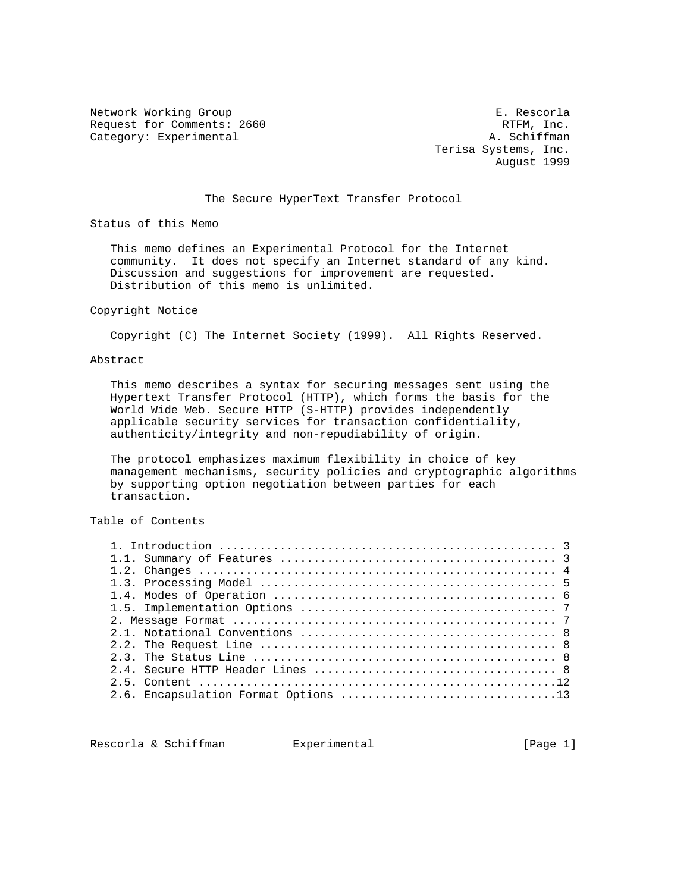Network Working Group<br>Request for Comments: 2660 Request for Comments: 2660 Request for Comments: 2660 Category: Experimental A. Schiffman

 Terisa Systems, Inc. August 1999

# The Secure HyperText Transfer Protocol

Status of this Memo

 This memo defines an Experimental Protocol for the Internet community. It does not specify an Internet standard of any kind. Discussion and suggestions for improvement are requested. Distribution of this memo is unlimited.

## Copyright Notice

Copyright (C) The Internet Society (1999). All Rights Reserved.

# Abstract

 This memo describes a syntax for securing messages sent using the Hypertext Transfer Protocol (HTTP), which forms the basis for the World Wide Web. Secure HTTP (S-HTTP) provides independently applicable security services for transaction confidentiality, authenticity/integrity and non-repudiability of origin.

 The protocol emphasizes maximum flexibility in choice of key management mechanisms, security policies and cryptographic algorithms by supporting option negotiation between parties for each transaction.

Table of Contents

Rescorla & Schiffman Bxperimental Character (Page 1)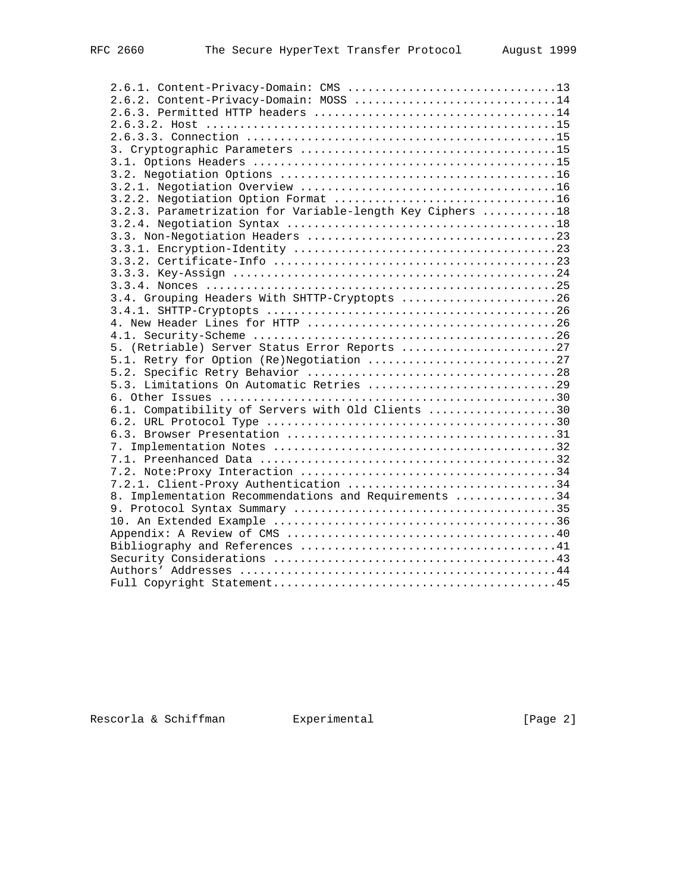| 2.6.1. Content-Privacy-Domain: CMS 13                     |  |
|-----------------------------------------------------------|--|
| 2.6.2. Content-Privacy-Domain: MOSS 14                    |  |
|                                                           |  |
|                                                           |  |
|                                                           |  |
|                                                           |  |
|                                                           |  |
|                                                           |  |
|                                                           |  |
|                                                           |  |
| 3.2.3. Parametrization for Variable-length Key Ciphers 18 |  |
|                                                           |  |
|                                                           |  |
|                                                           |  |
|                                                           |  |
|                                                           |  |
|                                                           |  |
| 3.4. Grouping Headers With SHTTP-Cryptopts 26             |  |
|                                                           |  |
|                                                           |  |
|                                                           |  |
| 5. (Retriable) Server Status Error Reports 27             |  |
|                                                           |  |
|                                                           |  |
| 5.3. Limitations On Automatic Retries 29                  |  |
|                                                           |  |
| 6.1. Compatibility of Servers with Old Clients 30         |  |
|                                                           |  |
|                                                           |  |
|                                                           |  |
|                                                           |  |
|                                                           |  |
| 7.2.1. Client-Proxy Authentication 34                     |  |
| 8. Implementation Recommendations and Requirements 34     |  |
|                                                           |  |
|                                                           |  |
|                                                           |  |
|                                                           |  |
|                                                           |  |
|                                                           |  |
|                                                           |  |

Rescorla & Schiffman Bxperimental Experimental [Page 2]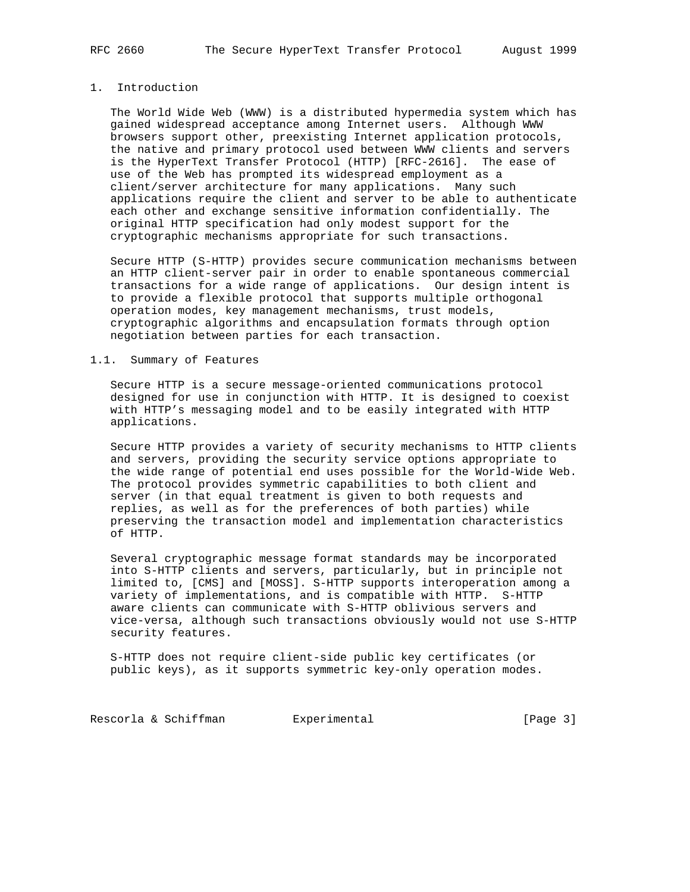# 1. Introduction

 The World Wide Web (WWW) is a distributed hypermedia system which has gained widespread acceptance among Internet users. Although WWW browsers support other, preexisting Internet application protocols, the native and primary protocol used between WWW clients and servers is the HyperText Transfer Protocol (HTTP) [RFC-2616]. The ease of use of the Web has prompted its widespread employment as a client/server architecture for many applications. Many such applications require the client and server to be able to authenticate each other and exchange sensitive information confidentially. The original HTTP specification had only modest support for the cryptographic mechanisms appropriate for such transactions.

 Secure HTTP (S-HTTP) provides secure communication mechanisms between an HTTP client-server pair in order to enable spontaneous commercial transactions for a wide range of applications. Our design intent is to provide a flexible protocol that supports multiple orthogonal operation modes, key management mechanisms, trust models, cryptographic algorithms and encapsulation formats through option negotiation between parties for each transaction.

# 1.1. Summary of Features

 Secure HTTP is a secure message-oriented communications protocol designed for use in conjunction with HTTP. It is designed to coexist with HTTP's messaging model and to be easily integrated with HTTP applications.

 Secure HTTP provides a variety of security mechanisms to HTTP clients and servers, providing the security service options appropriate to the wide range of potential end uses possible for the World-Wide Web. The protocol provides symmetric capabilities to both client and server (in that equal treatment is given to both requests and replies, as well as for the preferences of both parties) while preserving the transaction model and implementation characteristics of HTTP.

 Several cryptographic message format standards may be incorporated into S-HTTP clients and servers, particularly, but in principle not limited to, [CMS] and [MOSS]. S-HTTP supports interoperation among a variety of implementations, and is compatible with HTTP. S-HTTP aware clients can communicate with S-HTTP oblivious servers and vice-versa, although such transactions obviously would not use S-HTTP security features.

 S-HTTP does not require client-side public key certificates (or public keys), as it supports symmetric key-only operation modes.

Rescorla & Schiffman Bxperimental Change 3]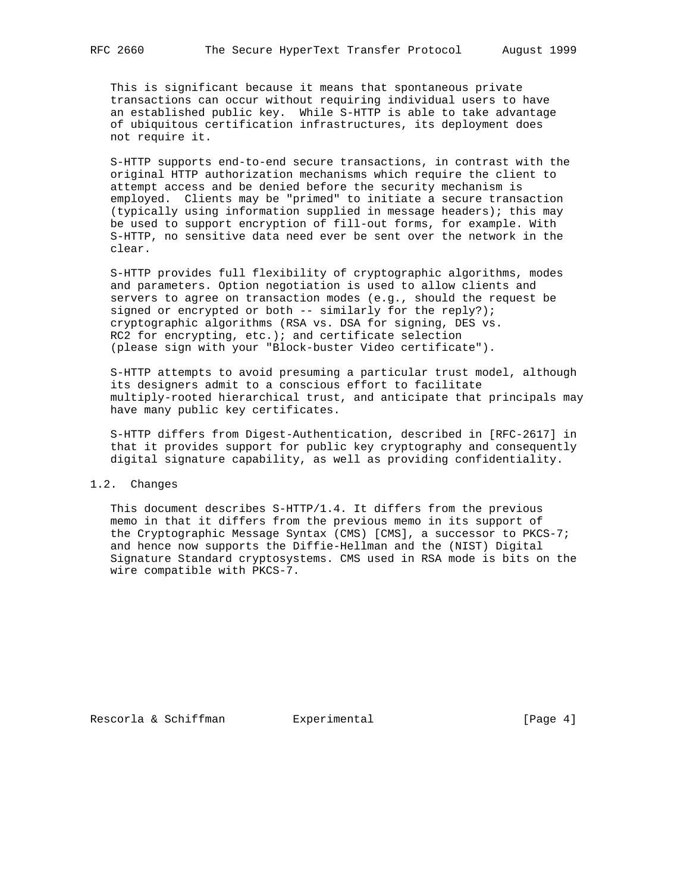This is significant because it means that spontaneous private transactions can occur without requiring individual users to have an established public key. While S-HTTP is able to take advantage of ubiquitous certification infrastructures, its deployment does not require it.

 S-HTTP supports end-to-end secure transactions, in contrast with the original HTTP authorization mechanisms which require the client to attempt access and be denied before the security mechanism is employed. Clients may be "primed" to initiate a secure transaction (typically using information supplied in message headers); this may be used to support encryption of fill-out forms, for example. With S-HTTP, no sensitive data need ever be sent over the network in the clear.

 S-HTTP provides full flexibility of cryptographic algorithms, modes and parameters. Option negotiation is used to allow clients and servers to agree on transaction modes (e.g., should the request be signed or encrypted or both -- similarly for the reply?); cryptographic algorithms (RSA vs. DSA for signing, DES vs. RC2 for encrypting, etc.); and certificate selection (please sign with your "Block-buster Video certificate").

 S-HTTP attempts to avoid presuming a particular trust model, although its designers admit to a conscious effort to facilitate multiply-rooted hierarchical trust, and anticipate that principals may have many public key certificates.

 S-HTTP differs from Digest-Authentication, described in [RFC-2617] in that it provides support for public key cryptography and consequently digital signature capability, as well as providing confidentiality.

# 1.2. Changes

 This document describes S-HTTP/1.4. It differs from the previous memo in that it differs from the previous memo in its support of the Cryptographic Message Syntax (CMS) [CMS], a successor to PKCS-7; and hence now supports the Diffie-Hellman and the (NIST) Digital Signature Standard cryptosystems. CMS used in RSA mode is bits on the wire compatible with PKCS-7.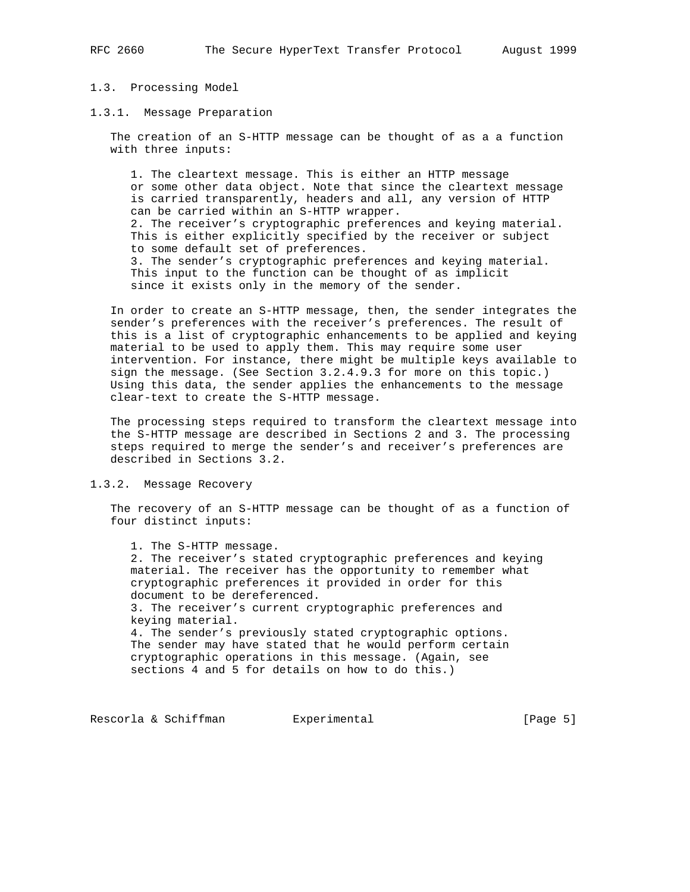# 1.3. Processing Model

1.3.1. Message Preparation

 The creation of an S-HTTP message can be thought of as a a function with three inputs:

 1. The cleartext message. This is either an HTTP message or some other data object. Note that since the cleartext message is carried transparently, headers and all, any version of HTTP can be carried within an S-HTTP wrapper. 2. The receiver's cryptographic preferences and keying material. This is either explicitly specified by the receiver or subject to some default set of preferences. 3. The sender's cryptographic preferences and keying material. This input to the function can be thought of as implicit since it exists only in the memory of the sender.

 In order to create an S-HTTP message, then, the sender integrates the sender's preferences with the receiver's preferences. The result of this is a list of cryptographic enhancements to be applied and keying material to be used to apply them. This may require some user intervention. For instance, there might be multiple keys available to sign the message. (See Section 3.2.4.9.3 for more on this topic.) Using this data, the sender applies the enhancements to the message clear-text to create the S-HTTP message.

 The processing steps required to transform the cleartext message into the S-HTTP message are described in Sections 2 and 3. The processing steps required to merge the sender's and receiver's preferences are described in Sections 3.2.

#### 1.3.2. Message Recovery

 The recovery of an S-HTTP message can be thought of as a function of four distinct inputs:

 1. The S-HTTP message. 2. The receiver's stated cryptographic preferences and keying material. The receiver has the opportunity to remember what cryptographic preferences it provided in order for this document to be dereferenced. 3. The receiver's current cryptographic preferences and keying material. 4. The sender's previously stated cryptographic options. The sender may have stated that he would perform certain cryptographic operations in this message. (Again, see sections 4 and 5 for details on how to do this.)

Rescorla & Schiffman Bxperimental Chage 5]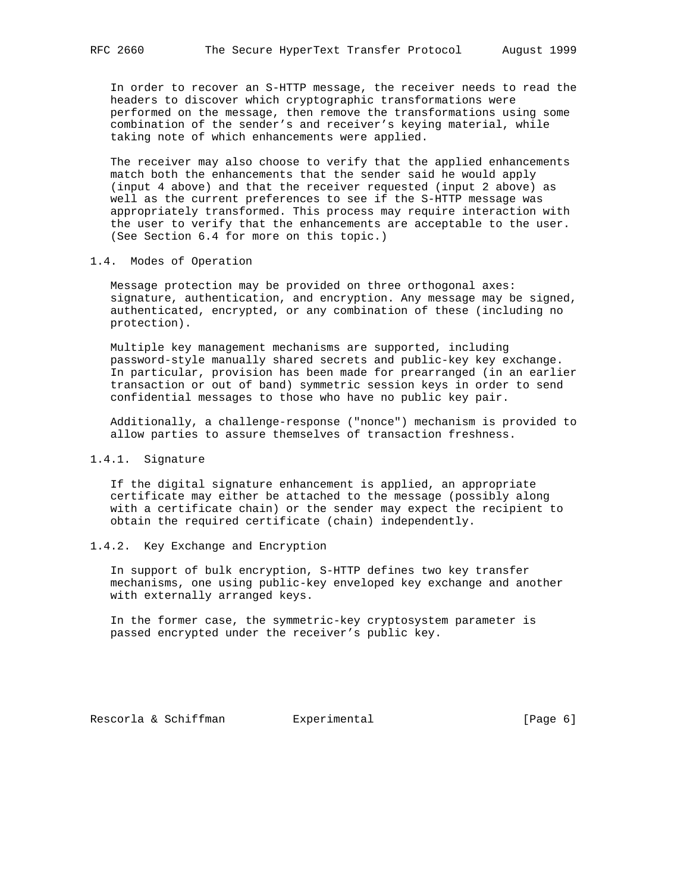In order to recover an S-HTTP message, the receiver needs to read the headers to discover which cryptographic transformations were performed on the message, then remove the transformations using some combination of the sender's and receiver's keying material, while taking note of which enhancements were applied.

 The receiver may also choose to verify that the applied enhancements match both the enhancements that the sender said he would apply (input 4 above) and that the receiver requested (input 2 above) as well as the current preferences to see if the S-HTTP message was appropriately transformed. This process may require interaction with the user to verify that the enhancements are acceptable to the user. (See Section 6.4 for more on this topic.)

# 1.4. Modes of Operation

 Message protection may be provided on three orthogonal axes: signature, authentication, and encryption. Any message may be signed, authenticated, encrypted, or any combination of these (including no protection).

 Multiple key management mechanisms are supported, including password-style manually shared secrets and public-key key exchange. In particular, provision has been made for prearranged (in an earlier transaction or out of band) symmetric session keys in order to send confidential messages to those who have no public key pair.

 Additionally, a challenge-response ("nonce") mechanism is provided to allow parties to assure themselves of transaction freshness.

# 1.4.1. Signature

 If the digital signature enhancement is applied, an appropriate certificate may either be attached to the message (possibly along with a certificate chain) or the sender may expect the recipient to obtain the required certificate (chain) independently.

# 1.4.2. Key Exchange and Encryption

 In support of bulk encryption, S-HTTP defines two key transfer mechanisms, one using public-key enveloped key exchange and another with externally arranged keys.

 In the former case, the symmetric-key cryptosystem parameter is passed encrypted under the receiver's public key.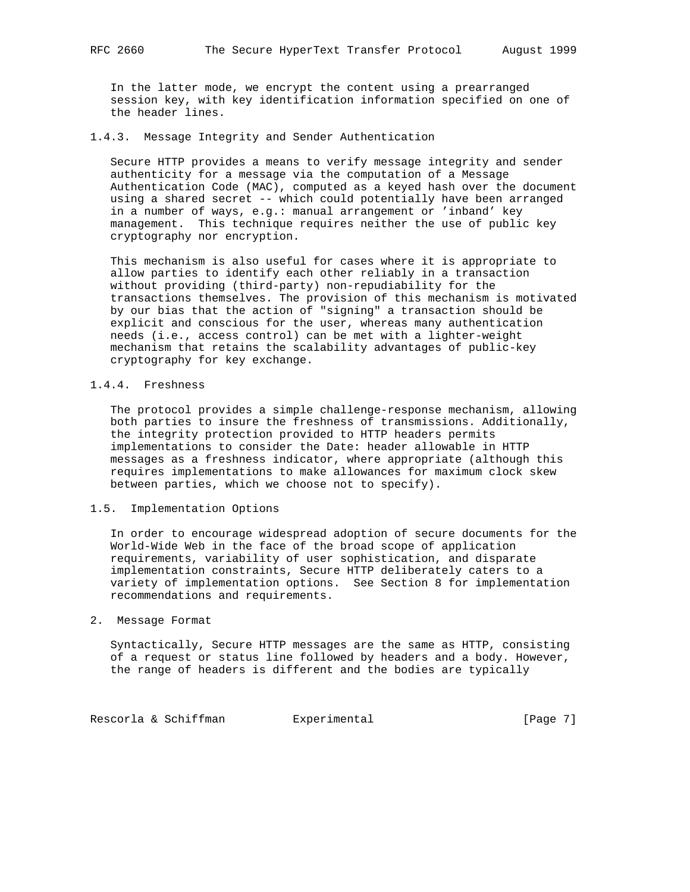In the latter mode, we encrypt the content using a prearranged session key, with key identification information specified on one of the header lines.

## 1.4.3. Message Integrity and Sender Authentication

 Secure HTTP provides a means to verify message integrity and sender authenticity for a message via the computation of a Message Authentication Code (MAC), computed as a keyed hash over the document using a shared secret -- which could potentially have been arranged in a number of ways, e.g.: manual arrangement or 'inband' key management. This technique requires neither the use of public key cryptography nor encryption.

 This mechanism is also useful for cases where it is appropriate to allow parties to identify each other reliably in a transaction without providing (third-party) non-repudiability for the transactions themselves. The provision of this mechanism is motivated by our bias that the action of "signing" a transaction should be explicit and conscious for the user, whereas many authentication needs (i.e., access control) can be met with a lighter-weight mechanism that retains the scalability advantages of public-key cryptography for key exchange.

# 1.4.4. Freshness

 The protocol provides a simple challenge-response mechanism, allowing both parties to insure the freshness of transmissions. Additionally, the integrity protection provided to HTTP headers permits implementations to consider the Date: header allowable in HTTP messages as a freshness indicator, where appropriate (although this requires implementations to make allowances for maximum clock skew between parties, which we choose not to specify).

## 1.5. Implementation Options

 In order to encourage widespread adoption of secure documents for the World-Wide Web in the face of the broad scope of application requirements, variability of user sophistication, and disparate implementation constraints, Secure HTTP deliberately caters to a variety of implementation options. See Section 8 for implementation recommendations and requirements.

#### 2. Message Format

 Syntactically, Secure HTTP messages are the same as HTTP, consisting of a request or status line followed by headers and a body. However, the range of headers is different and the bodies are typically

Rescorla & Schiffman Bxperimental Character (Page 7)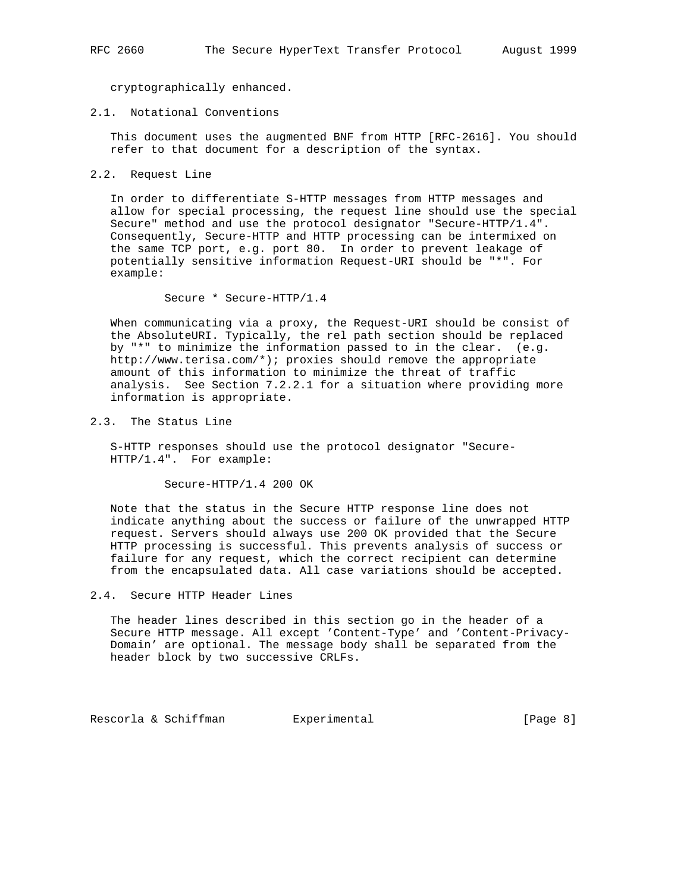cryptographically enhanced.

# 2.1. Notational Conventions

 This document uses the augmented BNF from HTTP [RFC-2616]. You should refer to that document for a description of the syntax.

2.2. Request Line

 In order to differentiate S-HTTP messages from HTTP messages and allow for special processing, the request line should use the special Secure" method and use the protocol designator "Secure-HTTP/1.4". Consequently, Secure-HTTP and HTTP processing can be intermixed on the same TCP port, e.g. port 80. In order to prevent leakage of potentially sensitive information Request-URI should be "\*". For example:

Secure \* Secure-HTTP/1.4

 When communicating via a proxy, the Request-URI should be consist of the AbsoluteURI. Typically, the rel path section should be replaced by "\*" to minimize the information passed to in the clear. (e.g. http://www.terisa.com/\*); proxies should remove the appropriate amount of this information to minimize the threat of traffic analysis. See Section 7.2.2.1 for a situation where providing more information is appropriate.

2.3. The Status Line

 S-HTTP responses should use the protocol designator "Secure- HTTP/1.4". For example:

Secure-HTTP/1.4 200 OK

 Note that the status in the Secure HTTP response line does not indicate anything about the success or failure of the unwrapped HTTP request. Servers should always use 200 OK provided that the Secure HTTP processing is successful. This prevents analysis of success or failure for any request, which the correct recipient can determine from the encapsulated data. All case variations should be accepted.

# 2.4. Secure HTTP Header Lines

 The header lines described in this section go in the header of a Secure HTTP message. All except 'Content-Type' and 'Content-Privacy- Domain' are optional. The message body shall be separated from the header block by two successive CRLFs.

Rescorla & Schiffman Experimental [Page 8]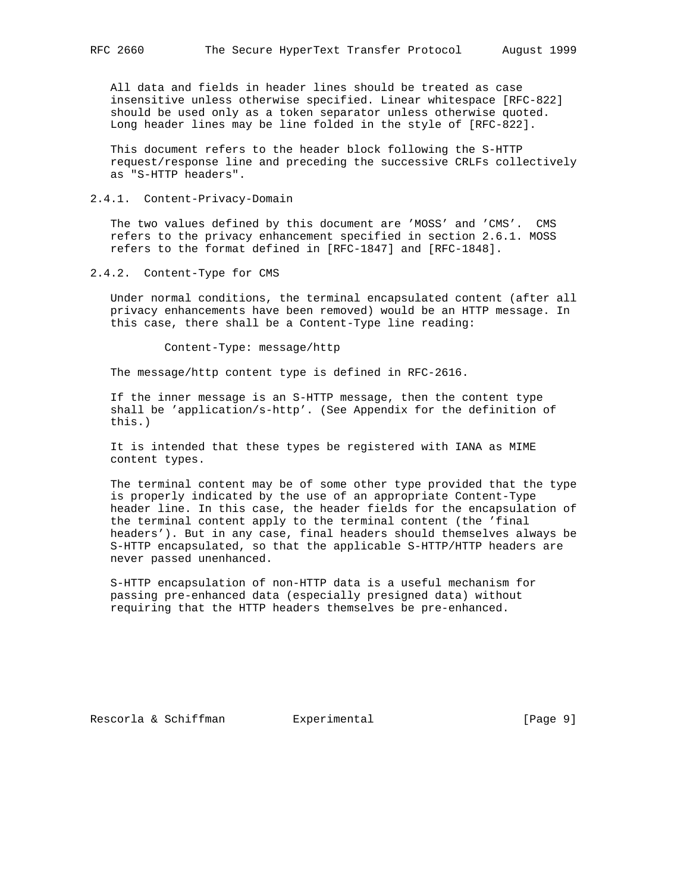All data and fields in header lines should be treated as case insensitive unless otherwise specified. Linear whitespace [RFC-822] should be used only as a token separator unless otherwise quoted. Long header lines may be line folded in the style of [RFC-822].

 This document refers to the header block following the S-HTTP request/response line and preceding the successive CRLFs collectively as "S-HTTP headers".

2.4.1. Content-Privacy-Domain

 The two values defined by this document are 'MOSS' and 'CMS'. CMS refers to the privacy enhancement specified in section 2.6.1. MOSS refers to the format defined in [RFC-1847] and [RFC-1848].

2.4.2. Content-Type for CMS

 Under normal conditions, the terminal encapsulated content (after all privacy enhancements have been removed) would be an HTTP message. In this case, there shall be a Content-Type line reading:

Content-Type: message/http

The message/http content type is defined in RFC-2616.

 If the inner message is an S-HTTP message, then the content type shall be 'application/s-http'. (See Appendix for the definition of this.)

 It is intended that these types be registered with IANA as MIME content types.

 The terminal content may be of some other type provided that the type is properly indicated by the use of an appropriate Content-Type header line. In this case, the header fields for the encapsulation of the terminal content apply to the terminal content (the 'final headers'). But in any case, final headers should themselves always be S-HTTP encapsulated, so that the applicable S-HTTP/HTTP headers are never passed unenhanced.

 S-HTTP encapsulation of non-HTTP data is a useful mechanism for passing pre-enhanced data (especially presigned data) without requiring that the HTTP headers themselves be pre-enhanced.

Rescorla & Schiffman Bxperimental [Page 9]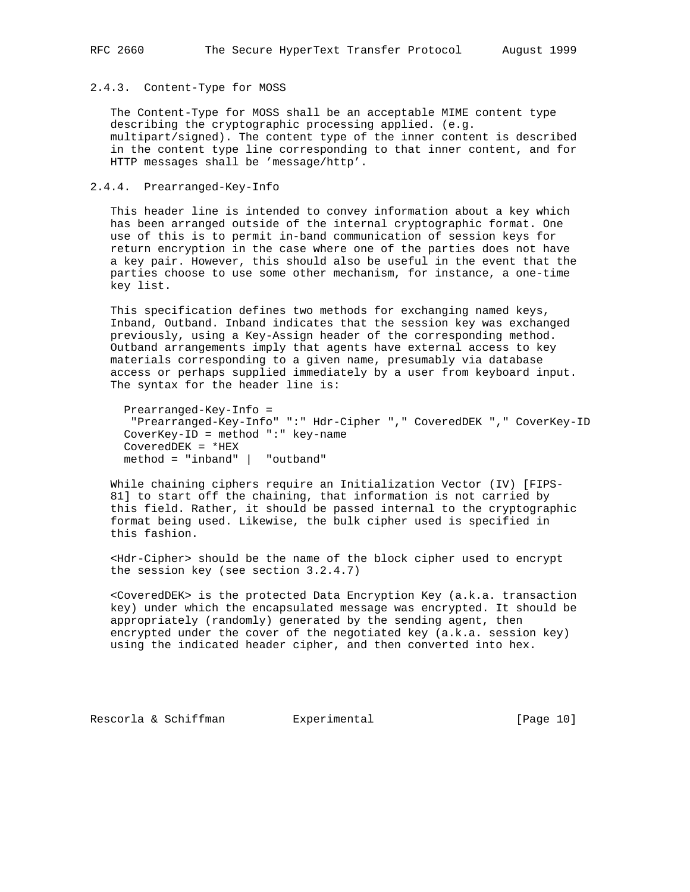## 2.4.3. Content-Type for MOSS

 The Content-Type for MOSS shall be an acceptable MIME content type describing the cryptographic processing applied. (e.g. multipart/signed). The content type of the inner content is described in the content type line corresponding to that inner content, and for HTTP messages shall be 'message/http'.

# 2.4.4. Prearranged-Key-Info

 This header line is intended to convey information about a key which has been arranged outside of the internal cryptographic format. One use of this is to permit in-band communication of session keys for return encryption in the case where one of the parties does not have a key pair. However, this should also be useful in the event that the parties choose to use some other mechanism, for instance, a one-time key list.

 This specification defines two methods for exchanging named keys, Inband, Outband. Inband indicates that the session key was exchanged previously, using a Key-Assign header of the corresponding method. Outband arrangements imply that agents have external access to key materials corresponding to a given name, presumably via database access or perhaps supplied immediately by a user from keyboard input. The syntax for the header line is:

 Prearranged-Key-Info = "Prearranged-Key-Info" ":" Hdr-Cipher "," CoveredDEK "," CoverKey-ID CoverKey-ID = method ":" key-name CoveredDEK = \*HEX method = "inband" | "outband"

 While chaining ciphers require an Initialization Vector (IV) [FIPS- 81] to start off the chaining, that information is not carried by this field. Rather, it should be passed internal to the cryptographic format being used. Likewise, the bulk cipher used is specified in this fashion.

 <Hdr-Cipher> should be the name of the block cipher used to encrypt the session key (see section 3.2.4.7)

 <CoveredDEK> is the protected Data Encryption Key (a.k.a. transaction key) under which the encapsulated message was encrypted. It should be appropriately (randomly) generated by the sending agent, then encrypted under the cover of the negotiated key (a.k.a. session key) using the indicated header cipher, and then converted into hex.

Rescorla & Schiffman and Experimental [Page 10]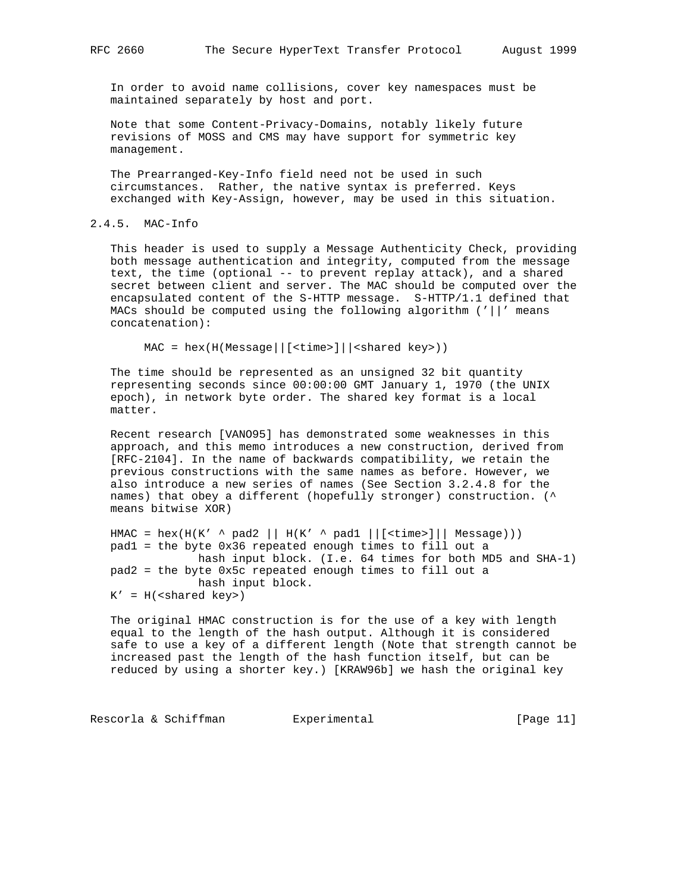In order to avoid name collisions, cover key namespaces must be maintained separately by host and port.

 Note that some Content-Privacy-Domains, notably likely future revisions of MOSS and CMS may have support for symmetric key management.

 The Prearranged-Key-Info field need not be used in such circumstances. Rather, the native syntax is preferred. Keys exchanged with Key-Assign, however, may be used in this situation.

## 2.4.5. MAC-Info

 This header is used to supply a Message Authenticity Check, providing both message authentication and integrity, computed from the message text, the time (optional -- to prevent replay attack), and a shared secret between client and server. The MAC should be computed over the encapsulated content of the S-HTTP message. S-HTTP/1.1 defined that MACs should be computed using the following algorithm ('||' means concatenation):

MAC = hex(H(Message||[<time>]||<shared key>))

 The time should be represented as an unsigned 32 bit quantity representing seconds since 00:00:00 GMT January 1, 1970 (the UNIX epoch), in network byte order. The shared key format is a local matter.

 Recent research [VANO95] has demonstrated some weaknesses in this approach, and this memo introduces a new construction, derived from [RFC-2104]. In the name of backwards compatibility, we retain the previous constructions with the same names as before. However, we also introduce a new series of names (See Section 3.2.4.8 for the names) that obey a different (hopefully stronger) construction. (^ means bitwise XOR)

 $HMAC = hex(H(K' \land pad2 || H(K' \land pad1 ||[)] || Message)))$  pad1 = the byte 0x36 repeated enough times to fill out a hash input block. (I.e. 64 times for both MD5 and SHA-1) pad2 = the byte 0x5c repeated enough times to fill out a hash input block.  $K' = H(<sub>shared</sub> key>)$ 

 The original HMAC construction is for the use of a key with length equal to the length of the hash output. Although it is considered safe to use a key of a different length (Note that strength cannot be increased past the length of the hash function itself, but can be reduced by using a shorter key.) [KRAW96b] we hash the original key

Rescorla & Schiffman Bxperimental (Page 11)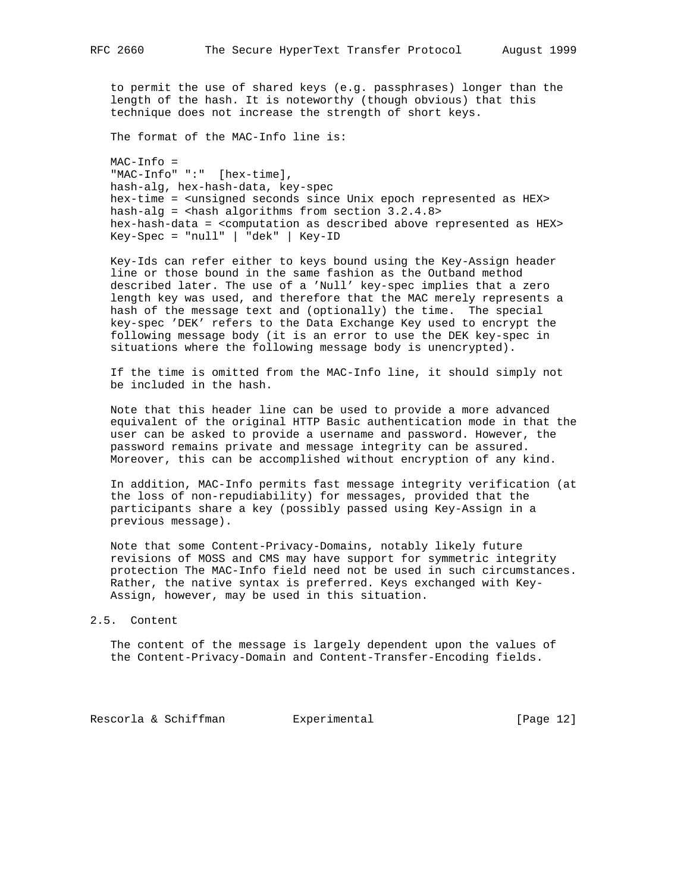to permit the use of shared keys (e.g. passphrases) longer than the length of the hash. It is noteworthy (though obvious) that this technique does not increase the strength of short keys.

The format of the MAC-Info line is:

 MAC-Info = "MAC-Info" ":" [hex-time], hash-alg, hex-hash-data, key-spec hex-time = <unsigned seconds since Unix epoch represented as HEX> hash-alg = <hash algorithms from section 3.2.4.8> hex-hash-data = <computation as described above represented as HEX> Key-Spec = "null" | "dek" | Key-ID

 Key-Ids can refer either to keys bound using the Key-Assign header line or those bound in the same fashion as the Outband method described later. The use of a 'Null' key-spec implies that a zero length key was used, and therefore that the MAC merely represents a hash of the message text and (optionally) the time. The special key-spec 'DEK' refers to the Data Exchange Key used to encrypt the following message body (it is an error to use the DEK key-spec in situations where the following message body is unencrypted).

 If the time is omitted from the MAC-Info line, it should simply not be included in the hash.

 Note that this header line can be used to provide a more advanced equivalent of the original HTTP Basic authentication mode in that the user can be asked to provide a username and password. However, the password remains private and message integrity can be assured. Moreover, this can be accomplished without encryption of any kind.

 In addition, MAC-Info permits fast message integrity verification (at the loss of non-repudiability) for messages, provided that the participants share a key (possibly passed using Key-Assign in a previous message).

 Note that some Content-Privacy-Domains, notably likely future revisions of MOSS and CMS may have support for symmetric integrity protection The MAC-Info field need not be used in such circumstances. Rather, the native syntax is preferred. Keys exchanged with Key- Assign, however, may be used in this situation.

#### 2.5. Content

 The content of the message is largely dependent upon the values of the Content-Privacy-Domain and Content-Transfer-Encoding fields.

Rescorla & Schiffman and Experimental Contrast (Page 12)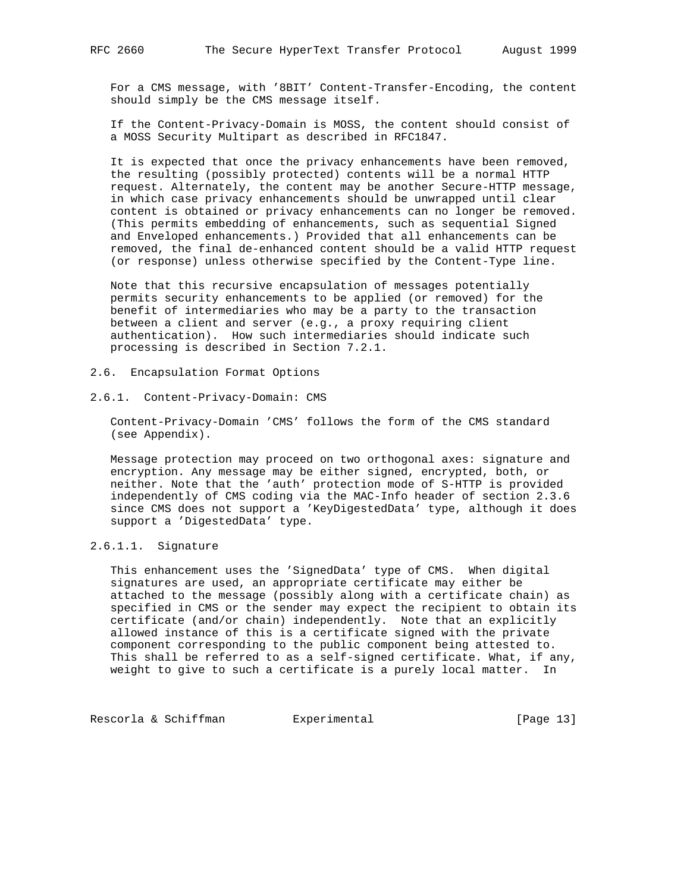For a CMS message, with '8BIT' Content-Transfer-Encoding, the content should simply be the CMS message itself.

 If the Content-Privacy-Domain is MOSS, the content should consist of a MOSS Security Multipart as described in RFC1847.

 It is expected that once the privacy enhancements have been removed, the resulting (possibly protected) contents will be a normal HTTP request. Alternately, the content may be another Secure-HTTP message, in which case privacy enhancements should be unwrapped until clear content is obtained or privacy enhancements can no longer be removed. (This permits embedding of enhancements, such as sequential Signed and Enveloped enhancements.) Provided that all enhancements can be removed, the final de-enhanced content should be a valid HTTP request (or response) unless otherwise specified by the Content-Type line.

 Note that this recursive encapsulation of messages potentially permits security enhancements to be applied (or removed) for the benefit of intermediaries who may be a party to the transaction between a client and server (e.g., a proxy requiring client authentication). How such intermediaries should indicate such processing is described in Section 7.2.1.

- 2.6. Encapsulation Format Options
- 2.6.1. Content-Privacy-Domain: CMS

 Content-Privacy-Domain 'CMS' follows the form of the CMS standard (see Appendix).

 Message protection may proceed on two orthogonal axes: signature and encryption. Any message may be either signed, encrypted, both, or neither. Note that the 'auth' protection mode of S-HTTP is provided independently of CMS coding via the MAC-Info header of section 2.3.6 since CMS does not support a 'KeyDigestedData' type, although it does support a 'DigestedData' type.

# 2.6.1.1. Signature

 This enhancement uses the 'SignedData' type of CMS. When digital signatures are used, an appropriate certificate may either be attached to the message (possibly along with a certificate chain) as specified in CMS or the sender may expect the recipient to obtain its certificate (and/or chain) independently. Note that an explicitly allowed instance of this is a certificate signed with the private component corresponding to the public component being attested to. This shall be referred to as a self-signed certificate. What, if any, weight to give to such a certificate is a purely local matter. In

Rescorla & Schiffman Bxperimental [Page 13]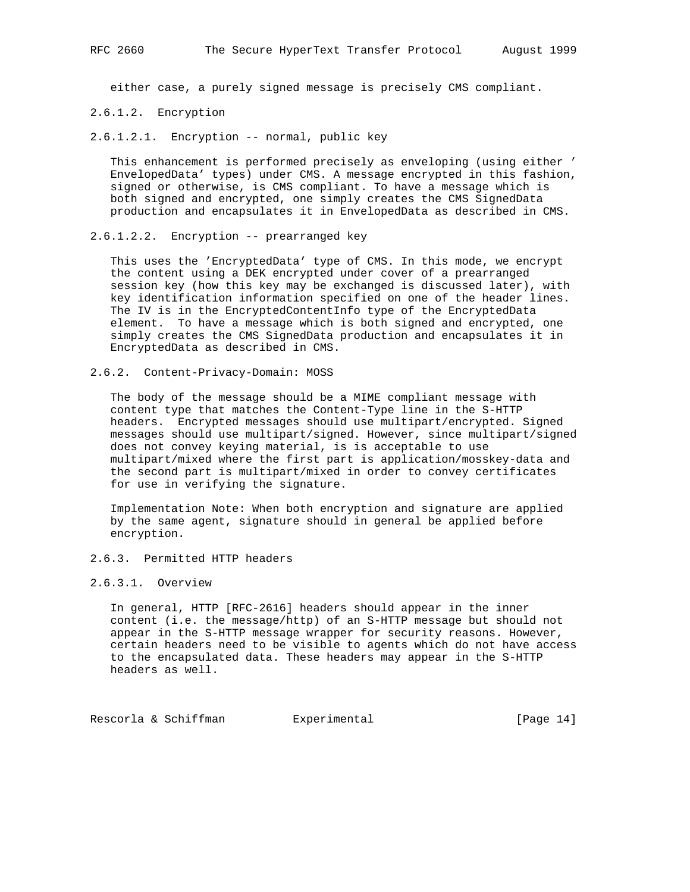either case, a purely signed message is precisely CMS compliant.

2.6.1.2. Encryption

2.6.1.2.1. Encryption -- normal, public key

 This enhancement is performed precisely as enveloping (using either ' EnvelopedData' types) under CMS. A message encrypted in this fashion, signed or otherwise, is CMS compliant. To have a message which is both signed and encrypted, one simply creates the CMS SignedData production and encapsulates it in EnvelopedData as described in CMS.

## 2.6.1.2.2. Encryption -- prearranged key

 This uses the 'EncryptedData' type of CMS. In this mode, we encrypt the content using a DEK encrypted under cover of a prearranged session key (how this key may be exchanged is discussed later), with key identification information specified on one of the header lines. The IV is in the EncryptedContentInfo type of the EncryptedData element. To have a message which is both signed and encrypted, one simply creates the CMS SignedData production and encapsulates it in EncryptedData as described in CMS.

2.6.2. Content-Privacy-Domain: MOSS

 The body of the message should be a MIME compliant message with content type that matches the Content-Type line in the S-HTTP headers. Encrypted messages should use multipart/encrypted. Signed messages should use multipart/signed. However, since multipart/signed does not convey keying material, is is acceptable to use multipart/mixed where the first part is application/mosskey-data and the second part is multipart/mixed in order to convey certificates for use in verifying the signature.

 Implementation Note: When both encryption and signature are applied by the same agent, signature should in general be applied before encryption.

# 2.6.3. Permitted HTTP headers

# 2.6.3.1. Overview

 In general, HTTP [RFC-2616] headers should appear in the inner content (i.e. the message/http) of an S-HTTP message but should not appear in the S-HTTP message wrapper for security reasons. However, certain headers need to be visible to agents which do not have access to the encapsulated data. These headers may appear in the S-HTTP headers as well.

Rescorla & Schiffman Bxperimental [Page 14]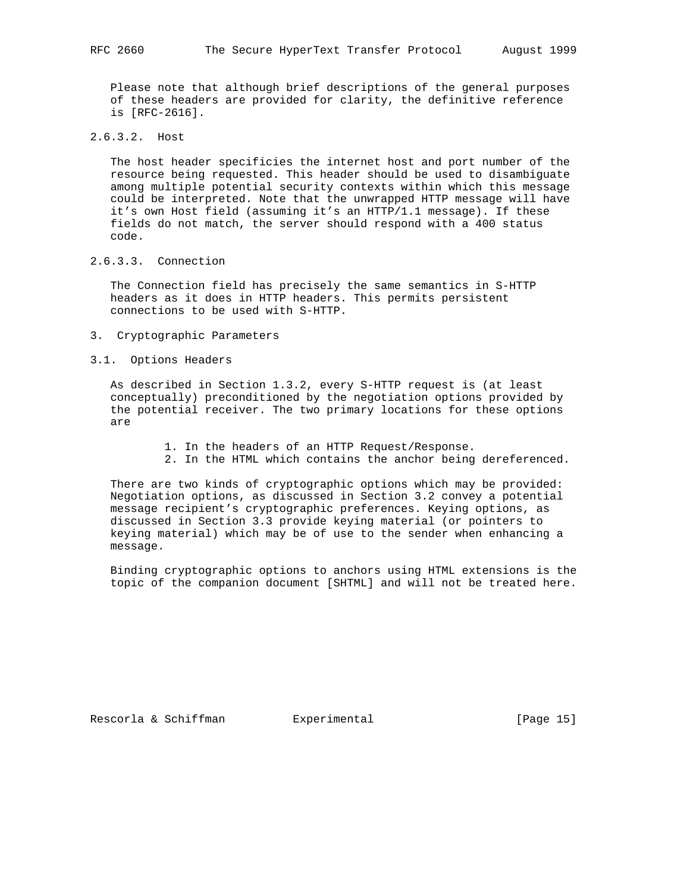Please note that although brief descriptions of the general purposes of these headers are provided for clarity, the definitive reference is [RFC-2616].

# 2.6.3.2. Host

 The host header specificies the internet host and port number of the resource being requested. This header should be used to disambiguate among multiple potential security contexts within which this message could be interpreted. Note that the unwrapped HTTP message will have it's own Host field (assuming it's an HTTP/1.1 message). If these fields do not match, the server should respond with a 400 status code.

# 2.6.3.3. Connection

 The Connection field has precisely the same semantics in S-HTTP headers as it does in HTTP headers. This permits persistent connections to be used with S-HTTP.

3. Cryptographic Parameters

# 3.1. Options Headers

 As described in Section 1.3.2, every S-HTTP request is (at least conceptually) preconditioned by the negotiation options provided by the potential receiver. The two primary locations for these options are

- 1. In the headers of an HTTP Request/Response.
- 2. In the HTML which contains the anchor being dereferenced.

 There are two kinds of cryptographic options which may be provided: Negotiation options, as discussed in Section 3.2 convey a potential message recipient's cryptographic preferences. Keying options, as discussed in Section 3.3 provide keying material (or pointers to keying material) which may be of use to the sender when enhancing a message.

 Binding cryptographic options to anchors using HTML extensions is the topic of the companion document [SHTML] and will not be treated here.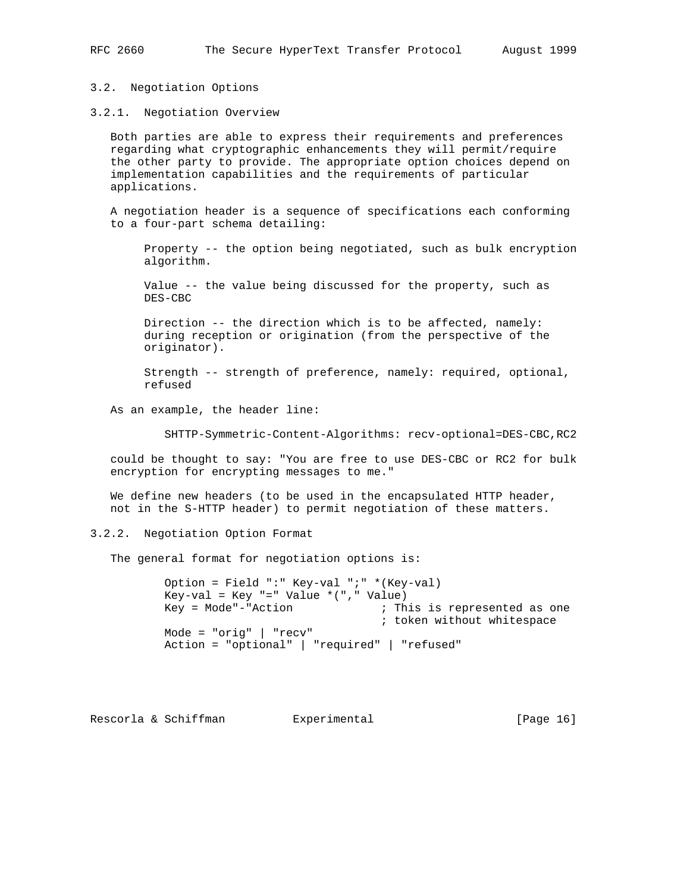3.2. Negotiation Options

3.2.1. Negotiation Overview

 Both parties are able to express their requirements and preferences regarding what cryptographic enhancements they will permit/require the other party to provide. The appropriate option choices depend on implementation capabilities and the requirements of particular applications.

 A negotiation header is a sequence of specifications each conforming to a four-part schema detailing:

 Property -- the option being negotiated, such as bulk encryption algorithm.

 Value -- the value being discussed for the property, such as DES-CBC

 Direction -- the direction which is to be affected, namely: during reception or origination (from the perspective of the originator).

 Strength -- strength of preference, namely: required, optional, refused

As an example, the header line:

SHTTP-Symmetric-Content-Algorithms: recv-optional=DES-CBC,RC2

 could be thought to say: "You are free to use DES-CBC or RC2 for bulk encryption for encrypting messages to me."

 We define new headers (to be used in the encapsulated HTTP header, not in the S-HTTP header) to permit negotiation of these matters.

3.2.2. Negotiation Option Format

The general format for negotiation options is:

 Option = Field ":" Key-val ";" \*(Key-val) Key-val = Key "=" Value  $*($  ", " Value) Key = Mode"-"Action ; This is represented as one ; token without whitespace Mode = "orig" | "recv" Action = "optional" | "required" | "refused"

Rescorla & Schiffman and Experimental [Page 16]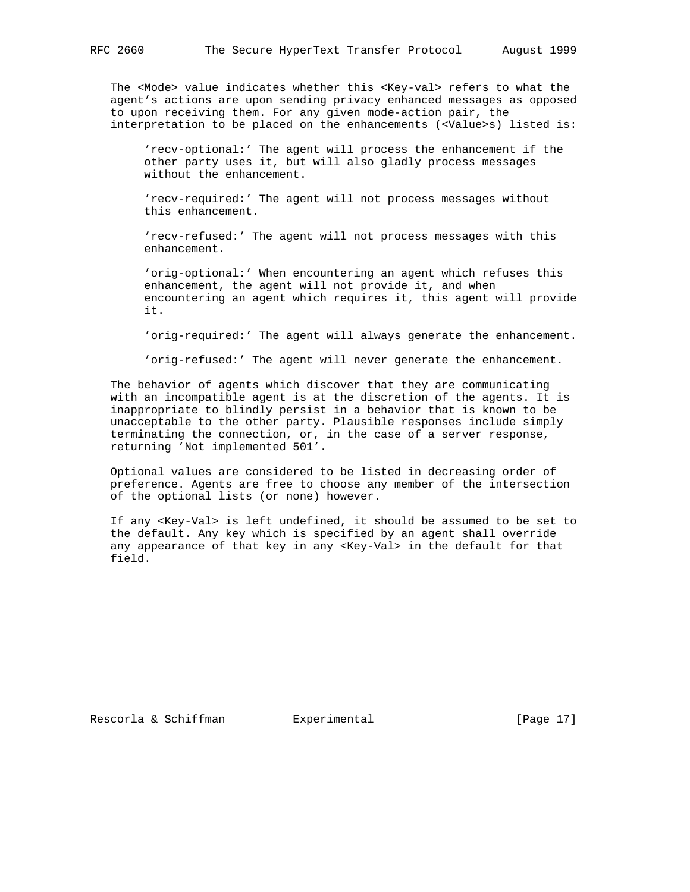The <Mode> value indicates whether this <Key-val> refers to what the agent's actions are upon sending privacy enhanced messages as opposed to upon receiving them. For any given mode-action pair, the interpretation to be placed on the enhancements (<Value>s) listed is:

 'recv-optional:' The agent will process the enhancement if the other party uses it, but will also gladly process messages without the enhancement.

 'recv-required:' The agent will not process messages without this enhancement.

 'recv-refused:' The agent will not process messages with this enhancement.

 'orig-optional:' When encountering an agent which refuses this enhancement, the agent will not provide it, and when encountering an agent which requires it, this agent will provide it.

'orig-required:' The agent will always generate the enhancement.

'orig-refused:' The agent will never generate the enhancement.

 The behavior of agents which discover that they are communicating with an incompatible agent is at the discretion of the agents. It is inappropriate to blindly persist in a behavior that is known to be unacceptable to the other party. Plausible responses include simply terminating the connection, or, in the case of a server response, returning 'Not implemented 501'.

 Optional values are considered to be listed in decreasing order of preference. Agents are free to choose any member of the intersection of the optional lists (or none) however.

 If any <Key-Val> is left undefined, it should be assumed to be set to the default. Any key which is specified by an agent shall override any appearance of that key in any <Key-Val> in the default for that field.

Rescorla & Schiffman and Experimental [Page 17]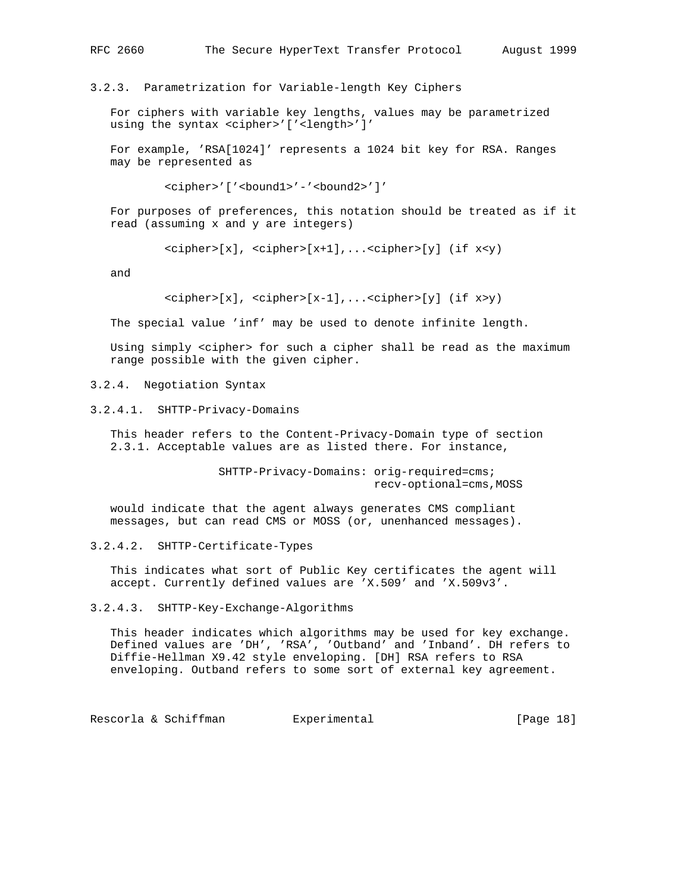3.2.3. Parametrization for Variable-length Key Ciphers

 For ciphers with variable key lengths, values may be parametrized using the syntax <cipher>'['<length>']'

 For example, 'RSA[1024]' represents a 1024 bit key for RSA. Ranges may be represented as

<cipher>'['<bound1>'-'<bound2>']'

 For purposes of preferences, this notation should be treated as if it read (assuming x and y are integers)

 $<$ cipher>[x],  $<$ cipher>[x+1],... $<$ cipher>[y] (if x<y)

and

 $<$ cipher>[x],  $<$ cipher>[x-1],... $<$ cipher>[y] (if x>y)

The special value 'inf' may be used to denote infinite length.

 Using simply <cipher> for such a cipher shall be read as the maximum range possible with the given cipher.

3.2.4. Negotiation Syntax

3.2.4.1. SHTTP-Privacy-Domains

 This header refers to the Content-Privacy-Domain type of section 2.3.1. Acceptable values are as listed there. For instance,

> SHTTP-Privacy-Domains: orig-required=cms; recv-optional=cms,MOSS

 would indicate that the agent always generates CMS compliant messages, but can read CMS or MOSS (or, unenhanced messages).

3.2.4.2. SHTTP-Certificate-Types

 This indicates what sort of Public Key certificates the agent will accept. Currently defined values are 'X.509' and 'X.509v3'.

3.2.4.3. SHTTP-Key-Exchange-Algorithms

 This header indicates which algorithms may be used for key exchange. Defined values are 'DH', 'RSA', 'Outband' and 'Inband'. DH refers to Diffie-Hellman X9.42 style enveloping. [DH] RSA refers to RSA enveloping. Outband refers to some sort of external key agreement.

Rescorla & Schiffman and Experimental [Page 18]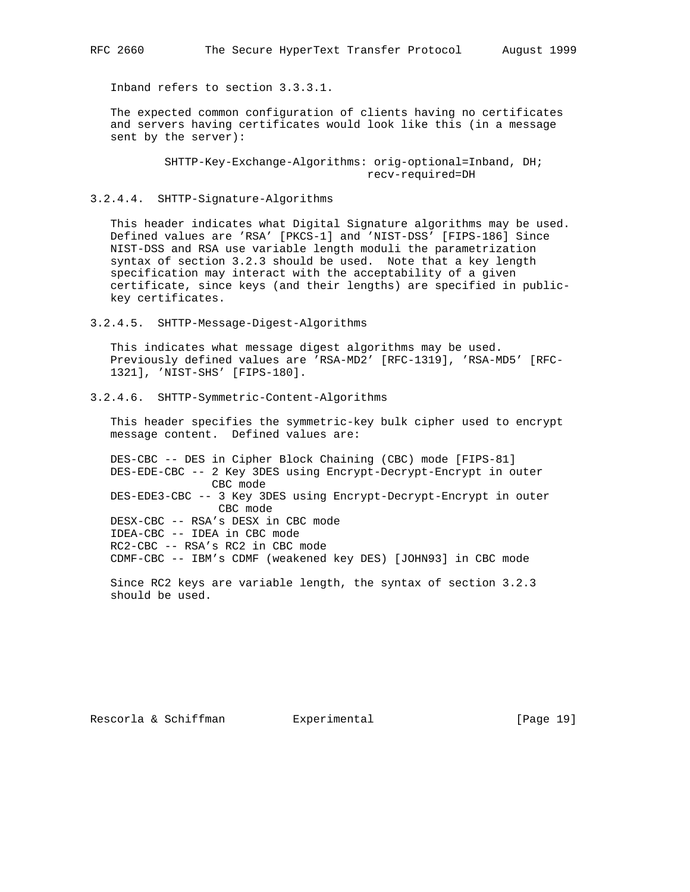Inband refers to section 3.3.3.1.

 The expected common configuration of clients having no certificates and servers having certificates would look like this (in a message sent by the server):

> SHTTP-Key-Exchange-Algorithms: orig-optional=Inband, DH; recv-required=DH

3.2.4.4. SHTTP-Signature-Algorithms

 This header indicates what Digital Signature algorithms may be used. Defined values are 'RSA' [PKCS-1] and 'NIST-DSS' [FIPS-186] Since NIST-DSS and RSA use variable length moduli the parametrization syntax of section 3.2.3 should be used. Note that a key length specification may interact with the acceptability of a given certificate, since keys (and their lengths) are specified in public key certificates.

3.2.4.5. SHTTP-Message-Digest-Algorithms

 This indicates what message digest algorithms may be used. Previously defined values are 'RSA-MD2' [RFC-1319], 'RSA-MD5' [RFC- 1321], 'NIST-SHS' [FIPS-180].

3.2.4.6. SHTTP-Symmetric-Content-Algorithms

 This header specifies the symmetric-key bulk cipher used to encrypt message content. Defined values are:

 DES-CBC -- DES in Cipher Block Chaining (CBC) mode [FIPS-81] DES-EDE-CBC -- 2 Key 3DES using Encrypt-Decrypt-Encrypt in outer CBC mode DES-EDE3-CBC -- 3 Key 3DES using Encrypt-Decrypt-Encrypt in outer CBC mode DESX-CBC -- RSA's DESX in CBC mode IDEA-CBC -- IDEA in CBC mode RC2-CBC -- RSA's RC2 in CBC mode CDMF-CBC -- IBM's CDMF (weakened key DES) [JOHN93] in CBC mode

 Since RC2 keys are variable length, the syntax of section 3.2.3 should be used.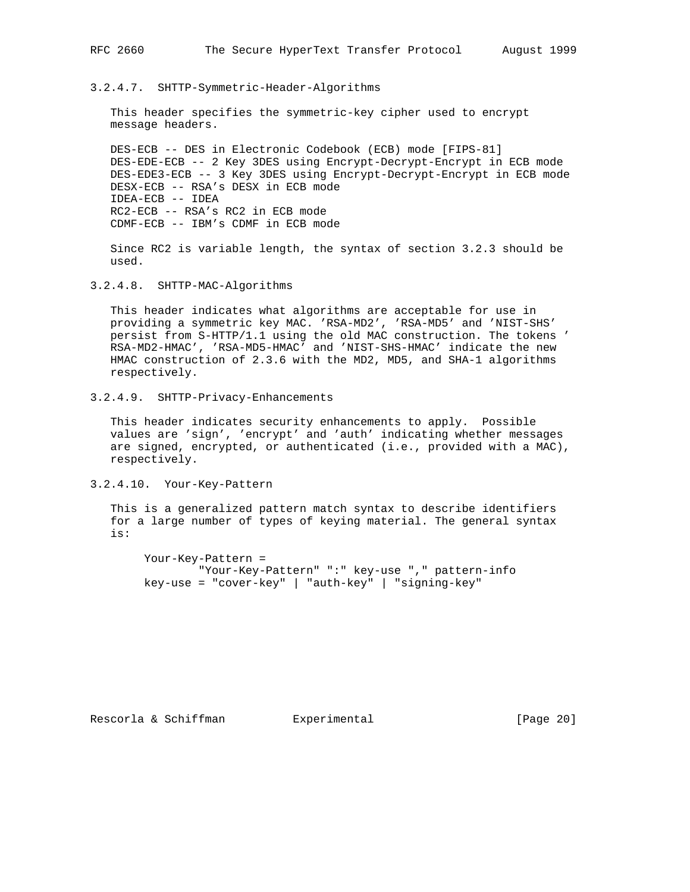3.2.4.7. SHTTP-Symmetric-Header-Algorithms

 This header specifies the symmetric-key cipher used to encrypt message headers.

 DES-ECB -- DES in Electronic Codebook (ECB) mode [FIPS-81] DES-EDE-ECB -- 2 Key 3DES using Encrypt-Decrypt-Encrypt in ECB mode DES-EDE3-ECB -- 3 Key 3DES using Encrypt-Decrypt-Encrypt in ECB mode DESX-ECB -- RSA's DESX in ECB mode IDEA-ECB -- IDEA RC2-ECB -- RSA's RC2 in ECB mode CDMF-ECB -- IBM's CDMF in ECB mode

 Since RC2 is variable length, the syntax of section 3.2.3 should be used.

3.2.4.8. SHTTP-MAC-Algorithms

 This header indicates what algorithms are acceptable for use in providing a symmetric key MAC. 'RSA-MD2', 'RSA-MD5' and 'NIST-SHS' persist from S-HTTP/1.1 using the old MAC construction. The tokens ' RSA-MD2-HMAC', 'RSA-MD5-HMAC' and 'NIST-SHS-HMAC' indicate the new HMAC construction of 2.3.6 with the MD2, MD5, and SHA-1 algorithms respectively.

3.2.4.9. SHTTP-Privacy-Enhancements

 This header indicates security enhancements to apply. Possible values are 'sign', 'encrypt' and 'auth' indicating whether messages are signed, encrypted, or authenticated (i.e., provided with a MAC), respectively.

3.2.4.10. Your-Key-Pattern

 This is a generalized pattern match syntax to describe identifiers for a large number of types of keying material. The general syntax is:

 Your-Key-Pattern = "Your-Key-Pattern" ":" key-use "," pattern-info key-use = "cover-key" | "auth-key" | "signing-key"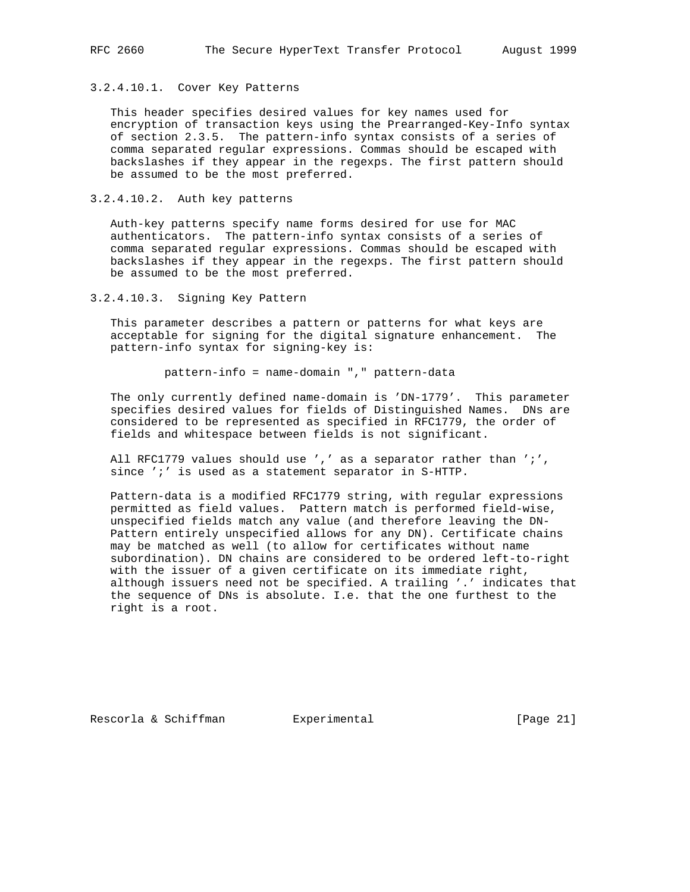# 3.2.4.10.1. Cover Key Patterns

 This header specifies desired values for key names used for encryption of transaction keys using the Prearranged-Key-Info syntax of section 2.3.5. The pattern-info syntax consists of a series of comma separated regular expressions. Commas should be escaped with backslashes if they appear in the regexps. The first pattern should be assumed to be the most preferred.

3.2.4.10.2. Auth key patterns

 Auth-key patterns specify name forms desired for use for MAC authenticators. The pattern-info syntax consists of a series of comma separated regular expressions. Commas should be escaped with backslashes if they appear in the regexps. The first pattern should be assumed to be the most preferred.

3.2.4.10.3. Signing Key Pattern

 This parameter describes a pattern or patterns for what keys are acceptable for signing for the digital signature enhancement. The pattern-info syntax for signing-key is:

pattern-info = name-domain "," pattern-data

 The only currently defined name-domain is 'DN-1779'. This parameter specifies desired values for fields of Distinguished Names. DNs are considered to be represented as specified in RFC1779, the order of fields and whitespace between fields is not significant.

All RFC1779 values should use ',' as a separator rather than ';', since ';' is used as a statement separator in S-HTTP.

 Pattern-data is a modified RFC1779 string, with regular expressions permitted as field values. Pattern match is performed field-wise, unspecified fields match any value (and therefore leaving the DN- Pattern entirely unspecified allows for any DN). Certificate chains may be matched as well (to allow for certificates without name subordination). DN chains are considered to be ordered left-to-right with the issuer of a given certificate on its immediate right, although issuers need not be specified. A trailing '.' indicates that the sequence of DNs is absolute. I.e. that the one furthest to the right is a root.

Rescorla & Schiffman Bxperimental [Page 21]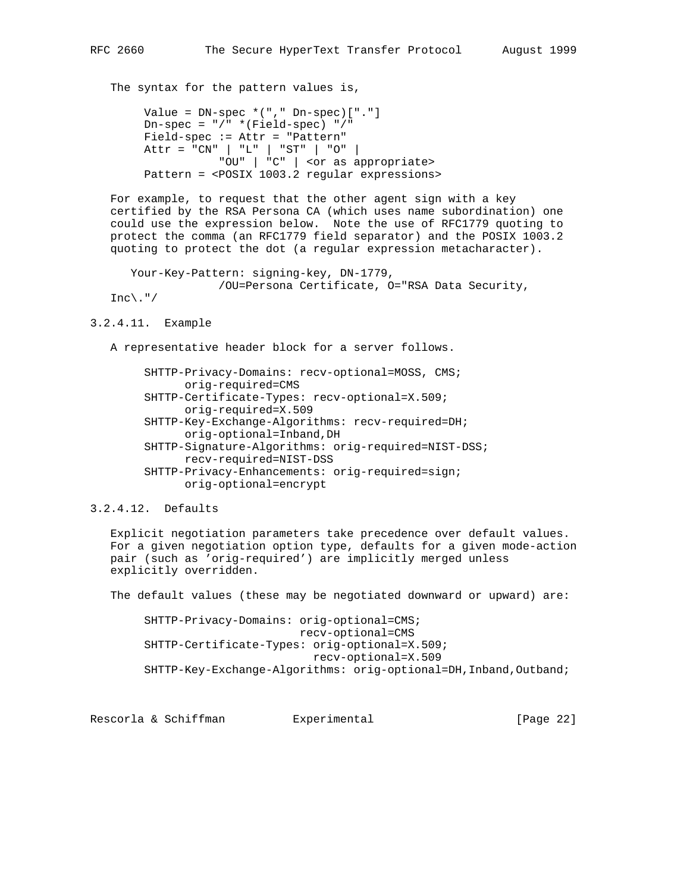The syntax for the pattern values is,

Value =  $DN$ -spec  $*(", " Dn$ -spec $) [ " . " ]$  $Dn$ -spec = "/" \*(Field-spec) "/" Field-spec := Attr = "Pattern" Attr = "CN" | "L" | "ST" | "O" | "OU" | "C" | <or as appropriate> Pattern = <POSIX 1003.2 regular expressions>

 For example, to request that the other agent sign with a key certified by the RSA Persona CA (which uses name subordination) one could use the expression below. Note the use of RFC1779 quoting to protect the comma (an RFC1779 field separator) and the POSIX 1003.2 quoting to protect the dot (a regular expression metacharacter).

```
 Your-Key-Pattern: signing-key, DN-1779,
                  /OU=Persona Certificate, O="RSA Data Security,
Inc\, \cdot \, ''
```

```
3.2.4.11. Example
```
A representative header block for a server follows.

 SHTTP-Privacy-Domains: recv-optional=MOSS, CMS; orig-required=CMS SHTTP-Certificate-Types: recv-optional=X.509; orig-required=X.509 SHTTP-Key-Exchange-Algorithms: recv-required=DH; orig-optional=Inband,DH SHTTP-Signature-Algorithms: orig-required=NIST-DSS; recv-required=NIST-DSS SHTTP-Privacy-Enhancements: orig-required=sign; orig-optional=encrypt

3.2.4.12. Defaults

 Explicit negotiation parameters take precedence over default values. For a given negotiation option type, defaults for a given mode-action pair (such as 'orig-required') are implicitly merged unless explicitly overridden.

The default values (these may be negotiated downward or upward) are:

 SHTTP-Privacy-Domains: orig-optional=CMS; recv-optional=CMS SHTTP-Certificate-Types: orig-optional=X.509; recv-optional=X.509 SHTTP-Key-Exchange-Algorithms: orig-optional=DH, Inband, Outband;

Rescorla & Schiffman and Experimental [Page 22]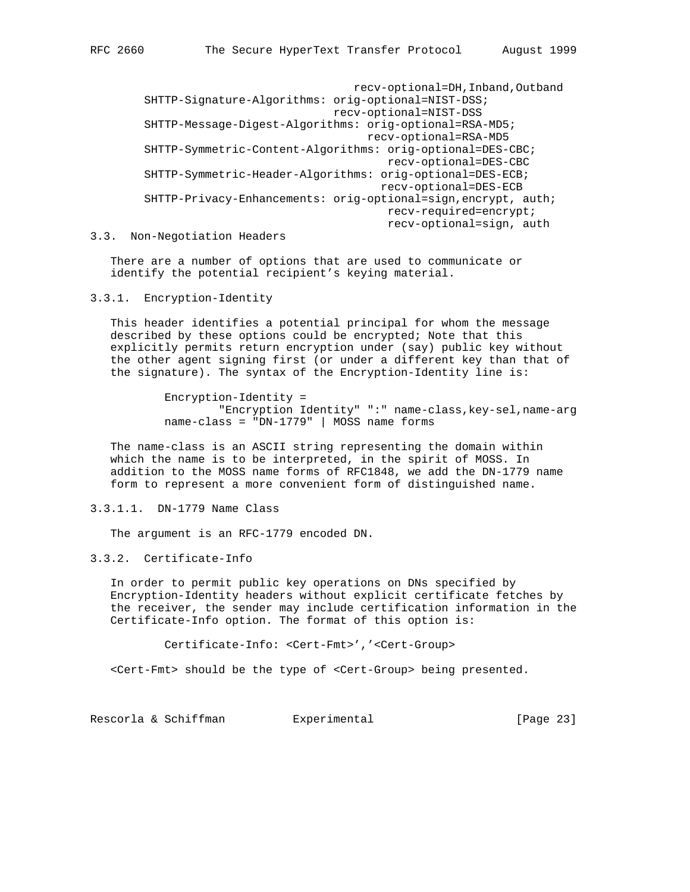recv-optional=DH,Inband,Outband SHTTP-Signature-Algorithms: orig-optional=NIST-DSS; recv-optional=NIST-DSS SHTTP-Message-Digest-Algorithms: orig-optional=RSA-MD5; recv-optional=RSA-MD5 SHTTP-Symmetric-Content-Algorithms: orig-optional=DES-CBC; recv-optional=DES-CBC SHTTP-Symmetric-Header-Algorithms: orig-optional=DES-ECB; recv-optional=DES-ECB SHTTP-Privacy-Enhancements: orig-optional=sign,encrypt, auth; recv-required=encrypt; recv-optional=sign, auth

3.3. Non-Negotiation Headers

 There are a number of options that are used to communicate or identify the potential recipient's keying material.

# 3.3.1. Encryption-Identity

 This header identifies a potential principal for whom the message described by these options could be encrypted; Note that this explicitly permits return encryption under (say) public key without the other agent signing first (or under a different key than that of the signature). The syntax of the Encryption-Identity line is:

> Encryption-Identity = "Encryption Identity" ":" name-class,key-sel,name-arg name-class = "DN-1779" | MOSS name forms

 The name-class is an ASCII string representing the domain within which the name is to be interpreted, in the spirit of MOSS. In addition to the MOSS name forms of RFC1848, we add the DN-1779 name form to represent a more convenient form of distinguished name.

3.3.1.1. DN-1779 Name Class

The argument is an RFC-1779 encoded DN.

3.3.2. Certificate-Info

 In order to permit public key operations on DNs specified by Encryption-Identity headers without explicit certificate fetches by the receiver, the sender may include certification information in the Certificate-Info option. The format of this option is:

Certificate-Info: <Cert-Fmt>','<Cert-Group>

<Cert-Fmt> should be the type of <Cert-Group> being presented.

Rescorla & Schiffman and Experimental [Page 23]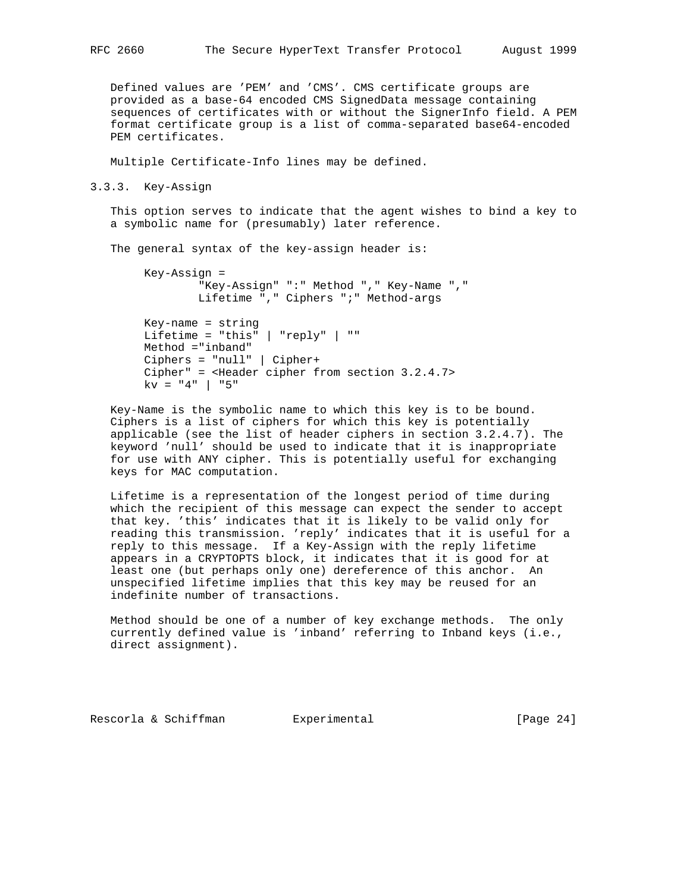Defined values are 'PEM' and 'CMS'. CMS certificate groups are provided as a base-64 encoded CMS SignedData message containing sequences of certificates with or without the SignerInfo field. A PEM format certificate group is a list of comma-separated base64-encoded PEM certificates.

Multiple Certificate-Info lines may be defined.

3.3.3. Key-Assign

 This option serves to indicate that the agent wishes to bind a key to a symbolic name for (presumably) later reference.

The general syntax of the key-assign header is:

```
 Key-Assign =
         "Key-Assign" ":" Method "," Key-Name ","
         Lifetime "," Ciphers ";" Method-args
 Key-name = string
 Lifetime = "this" | "reply" | ""
 Method ="inband"
 Ciphers = "null" | Cipher+
 Cipher" = <Header cipher from section 3.2.4.7>
kv = "4" | "5"
```
 Key-Name is the symbolic name to which this key is to be bound. Ciphers is a list of ciphers for which this key is potentially applicable (see the list of header ciphers in section 3.2.4.7). The keyword 'null' should be used to indicate that it is inappropriate for use with ANY cipher. This is potentially useful for exchanging keys for MAC computation.

 Lifetime is a representation of the longest period of time during which the recipient of this message can expect the sender to accept that key. 'this' indicates that it is likely to be valid only for reading this transmission. 'reply' indicates that it is useful for a reply to this message. If a Key-Assign with the reply lifetime appears in a CRYPTOPTS block, it indicates that it is good for at least one (but perhaps only one) dereference of this anchor. An unspecified lifetime implies that this key may be reused for an indefinite number of transactions.

 Method should be one of a number of key exchange methods. The only currently defined value is 'inband' referring to Inband keys (i.e., direct assignment).

Rescorla & Schiffman and Experimental [Page 24]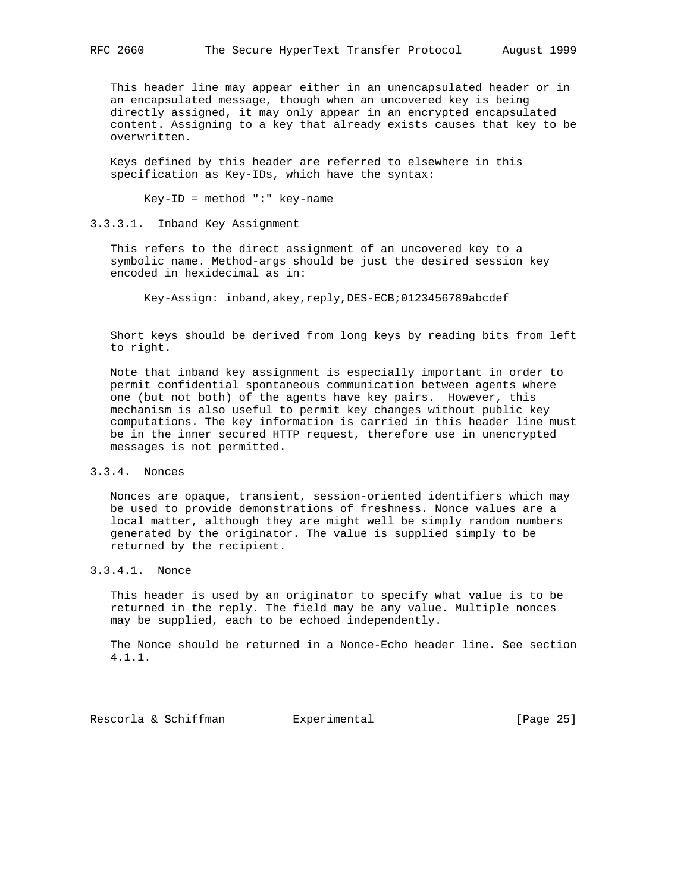This header line may appear either in an unencapsulated header or in an encapsulated message, though when an uncovered key is being directly assigned, it may only appear in an encrypted encapsulated content. Assigning to a key that already exists causes that key to be overwritten.

 Keys defined by this header are referred to elsewhere in this specification as Key-IDs, which have the syntax:

Key-ID = method ":" key-name

3.3.3.1. Inband Key Assignment

 This refers to the direct assignment of an uncovered key to a symbolic name. Method-args should be just the desired session key encoded in hexidecimal as in:

Key-Assign: inband,akey,reply,DES-ECB;0123456789abcdef

 Short keys should be derived from long keys by reading bits from left to right.

 Note that inband key assignment is especially important in order to permit confidential spontaneous communication between agents where one (but not both) of the agents have key pairs. However, this mechanism is also useful to permit key changes without public key computations. The key information is carried in this header line must be in the inner secured HTTP request, therefore use in unencrypted messages is not permitted.

3.3.4. Nonces

 Nonces are opaque, transient, session-oriented identifiers which may be used to provide demonstrations of freshness. Nonce values are a local matter, although they are might well be simply random numbers generated by the originator. The value is supplied simply to be returned by the recipient.

# 3.3.4.1. Nonce

 This header is used by an originator to specify what value is to be returned in the reply. The field may be any value. Multiple nonces may be supplied, each to be echoed independently.

 The Nonce should be returned in a Nonce-Echo header line. See section 4.1.1.

Rescorla & Schiffman and Experimental [Page 25]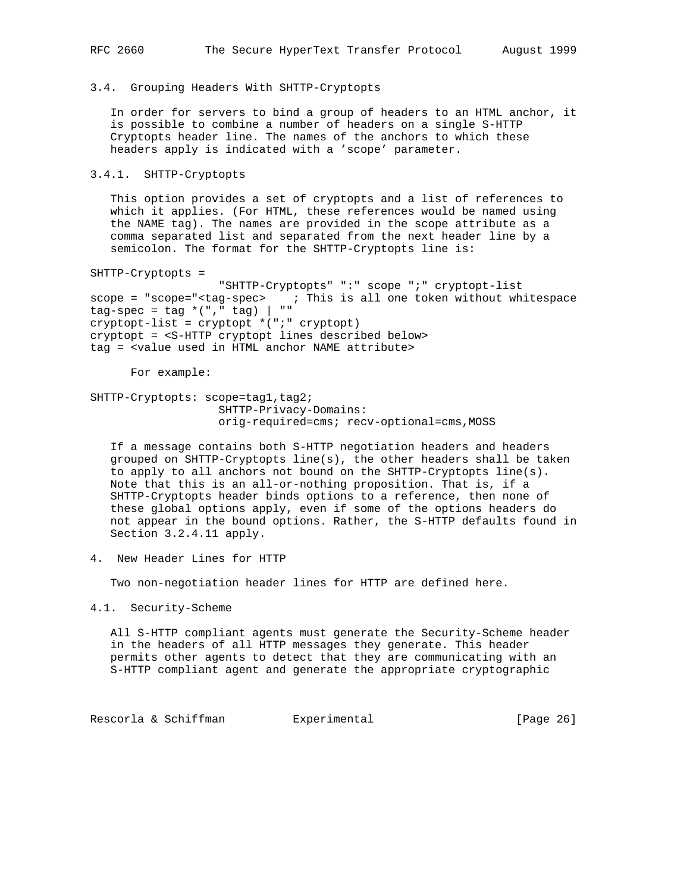## 3.4. Grouping Headers With SHTTP-Cryptopts

 In order for servers to bind a group of headers to an HTML anchor, it is possible to combine a number of headers on a single S-HTTP Cryptopts header line. The names of the anchors to which these headers apply is indicated with a 'scope' parameter.

# 3.4.1. SHTTP-Cryptopts

 This option provides a set of cryptopts and a list of references to which it applies. (For HTML, these references would be named using the NAME tag). The names are provided in the scope attribute as a comma separated list and separated from the next header line by a semicolon. The format for the SHTTP-Cryptopts line is:

SHTTP-Cryptopts =

 "SHTTP-Cryptopts" ":" scope ";" cryptopt-list scope = "scope="<tag-spec> ; This is all one token without whitespace  $tag-spec = tag * ("," tag) | " "$ cryptopt-list = cryptopt \*(";" cryptopt) cryptopt = <S-HTTP cryptopt lines described below> tag = <value used in HTML anchor NAME attribute>

For example:

SHTTP-Cryptopts: scope=tag1, tag2; SHTTP-Privacy-Domains: orig-required=cms; recv-optional=cms,MOSS

 If a message contains both S-HTTP negotiation headers and headers grouped on SHTTP-Cryptopts line(s), the other headers shall be taken to apply to all anchors not bound on the SHTTP-Cryptopts line(s). Note that this is an all-or-nothing proposition. That is, if a SHTTP-Cryptopts header binds options to a reference, then none of these global options apply, even if some of the options headers do not appear in the bound options. Rather, the S-HTTP defaults found in Section 3.2.4.11 apply.

4. New Header Lines for HTTP

Two non-negotiation header lines for HTTP are defined here.

4.1. Security-Scheme

 All S-HTTP compliant agents must generate the Security-Scheme header in the headers of all HTTP messages they generate. This header permits other agents to detect that they are communicating with an S-HTTP compliant agent and generate the appropriate cryptographic

Rescorla & Schiffman Bxperimental (Page 26)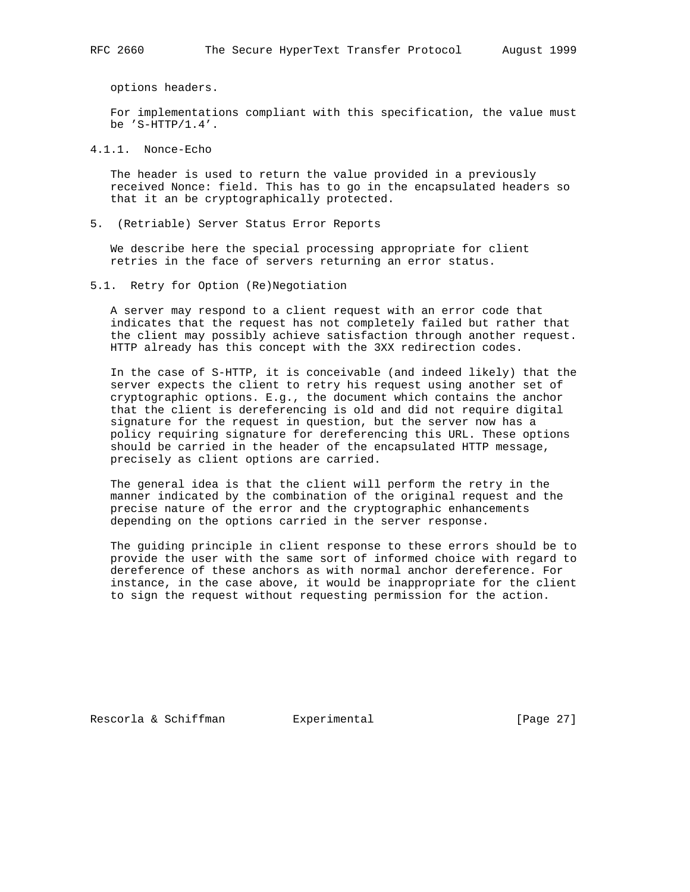options headers.

 For implementations compliant with this specification, the value must be 'S-HTTP/1.4'.

4.1.1. Nonce-Echo

 The header is used to return the value provided in a previously received Nonce: field. This has to go in the encapsulated headers so that it an be cryptographically protected.

5. (Retriable) Server Status Error Reports

 We describe here the special processing appropriate for client retries in the face of servers returning an error status.

5.1. Retry for Option (Re)Negotiation

 A server may respond to a client request with an error code that indicates that the request has not completely failed but rather that the client may possibly achieve satisfaction through another request. HTTP already has this concept with the 3XX redirection codes.

 In the case of S-HTTP, it is conceivable (and indeed likely) that the server expects the client to retry his request using another set of cryptographic options. E.g., the document which contains the anchor that the client is dereferencing is old and did not require digital signature for the request in question, but the server now has a policy requiring signature for dereferencing this URL. These options should be carried in the header of the encapsulated HTTP message, precisely as client options are carried.

 The general idea is that the client will perform the retry in the manner indicated by the combination of the original request and the precise nature of the error and the cryptographic enhancements depending on the options carried in the server response.

 The guiding principle in client response to these errors should be to provide the user with the same sort of informed choice with regard to dereference of these anchors as with normal anchor dereference. For instance, in the case above, it would be inappropriate for the client to sign the request without requesting permission for the action.

Rescorla & Schiffman and Experimental [Page 27]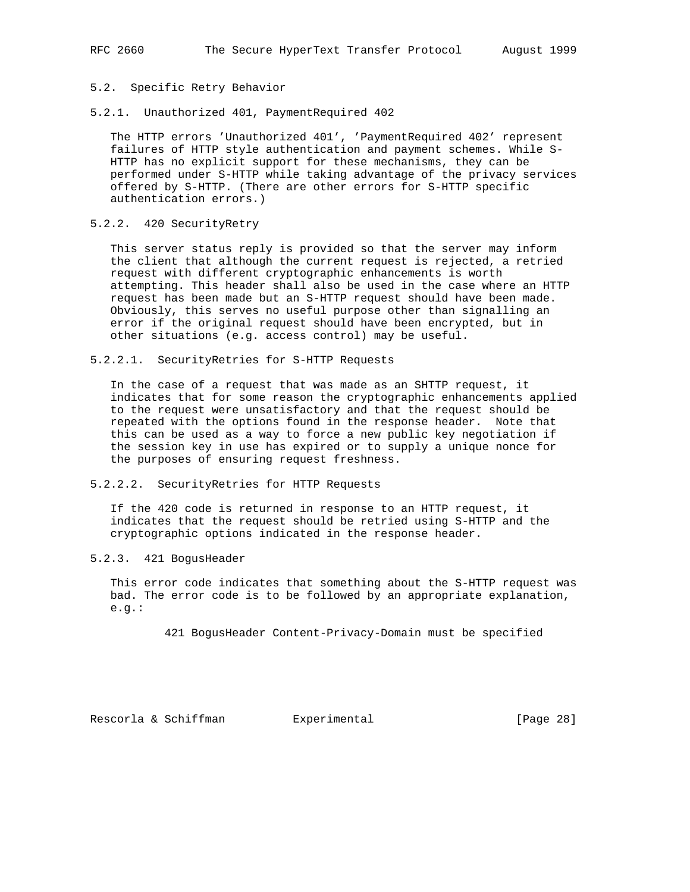# 5.2. Specific Retry Behavior

5.2.1. Unauthorized 401, PaymentRequired 402

 The HTTP errors 'Unauthorized 401', 'PaymentRequired 402' represent failures of HTTP style authentication and payment schemes. While S- HTTP has no explicit support for these mechanisms, they can be performed under S-HTTP while taking advantage of the privacy services offered by S-HTTP. (There are other errors for S-HTTP specific authentication errors.)

# 5.2.2. 420 SecurityRetry

 This server status reply is provided so that the server may inform the client that although the current request is rejected, a retried request with different cryptographic enhancements is worth attempting. This header shall also be used in the case where an HTTP request has been made but an S-HTTP request should have been made. Obviously, this serves no useful purpose other than signalling an error if the original request should have been encrypted, but in other situations (e.g. access control) may be useful.

5.2.2.1. SecurityRetries for S-HTTP Requests

 In the case of a request that was made as an SHTTP request, it indicates that for some reason the cryptographic enhancements applied to the request were unsatisfactory and that the request should be repeated with the options found in the response header. Note that this can be used as a way to force a new public key negotiation if the session key in use has expired or to supply a unique nonce for the purposes of ensuring request freshness.

# 5.2.2.2. SecurityRetries for HTTP Requests

 If the 420 code is returned in response to an HTTP request, it indicates that the request should be retried using S-HTTP and the cryptographic options indicated in the response header.

# 5.2.3. 421 BogusHeader

 This error code indicates that something about the S-HTTP request was bad. The error code is to be followed by an appropriate explanation, e.g.:

421 BogusHeader Content-Privacy-Domain must be specified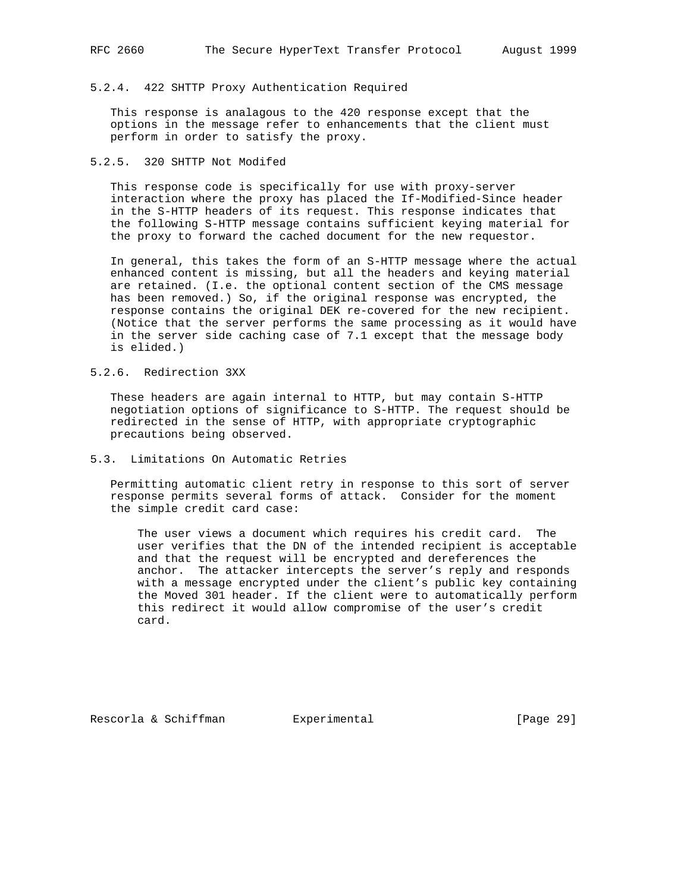# 5.2.4. 422 SHTTP Proxy Authentication Required

 This response is analagous to the 420 response except that the options in the message refer to enhancements that the client must perform in order to satisfy the proxy.

# 5.2.5. 320 SHTTP Not Modifed

 This response code is specifically for use with proxy-server interaction where the proxy has placed the If-Modified-Since header in the S-HTTP headers of its request. This response indicates that the following S-HTTP message contains sufficient keying material for the proxy to forward the cached document for the new requestor.

 In general, this takes the form of an S-HTTP message where the actual enhanced content is missing, but all the headers and keying material are retained. (I.e. the optional content section of the CMS message has been removed.) So, if the original response was encrypted, the response contains the original DEK re-covered for the new recipient. (Notice that the server performs the same processing as it would have in the server side caching case of 7.1 except that the message body is elided.)

# 5.2.6. Redirection 3XX

 These headers are again internal to HTTP, but may contain S-HTTP negotiation options of significance to S-HTTP. The request should be redirected in the sense of HTTP, with appropriate cryptographic precautions being observed.

# 5.3. Limitations On Automatic Retries

 Permitting automatic client retry in response to this sort of server response permits several forms of attack. Consider for the moment the simple credit card case:

 The user views a document which requires his credit card. The user verifies that the DN of the intended recipient is acceptable and that the request will be encrypted and dereferences the anchor. The attacker intercepts the server's reply and responds with a message encrypted under the client's public key containing the Moved 301 header. If the client were to automatically perform this redirect it would allow compromise of the user's credit card.

Rescorla & Schiffman Bxperimental [Page 29]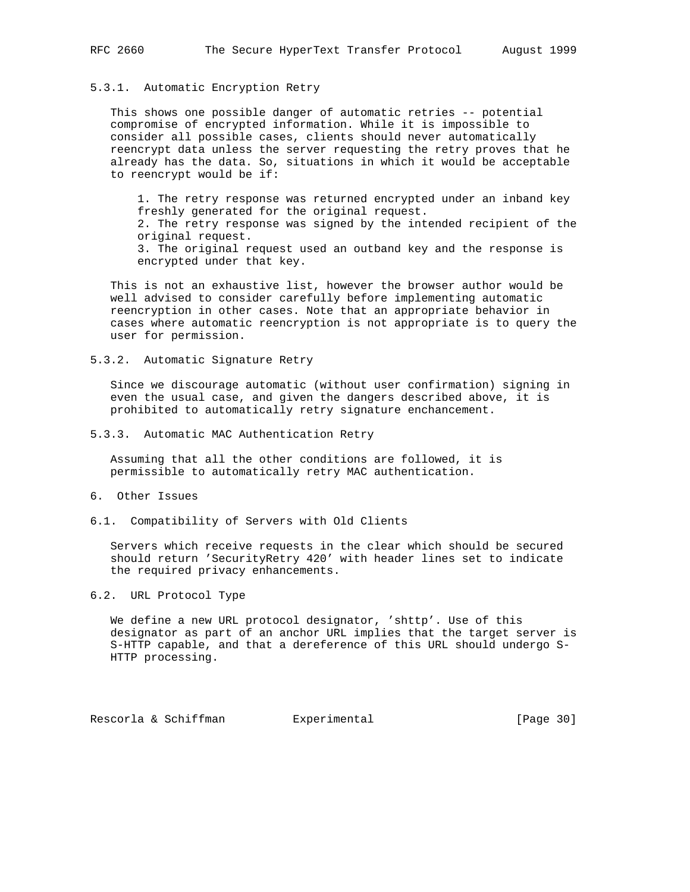# 5.3.1. Automatic Encryption Retry

 This shows one possible danger of automatic retries -- potential compromise of encrypted information. While it is impossible to consider all possible cases, clients should never automatically reencrypt data unless the server requesting the retry proves that he already has the data. So, situations in which it would be acceptable to reencrypt would be if:

 1. The retry response was returned encrypted under an inband key freshly generated for the original request. 2. The retry response was signed by the intended recipient of the original request. 3. The original request used an outband key and the response is encrypted under that key.

 This is not an exhaustive list, however the browser author would be well advised to consider carefully before implementing automatic reencryption in other cases. Note that an appropriate behavior in cases where automatic reencryption is not appropriate is to query the user for permission.

5.3.2. Automatic Signature Retry

 Since we discourage automatic (without user confirmation) signing in even the usual case, and given the dangers described above, it is prohibited to automatically retry signature enchancement.

5.3.3. Automatic MAC Authentication Retry

 Assuming that all the other conditions are followed, it is permissible to automatically retry MAC authentication.

## 6. Other Issues

6.1. Compatibility of Servers with Old Clients

 Servers which receive requests in the clear which should be secured should return 'SecurityRetry 420' with header lines set to indicate the required privacy enhancements.

# 6.2. URL Protocol Type

 We define a new URL protocol designator, 'shttp'. Use of this designator as part of an anchor URL implies that the target server is S-HTTP capable, and that a dereference of this URL should undergo S- HTTP processing.

Rescorla & Schiffman and Experimental [Page 30]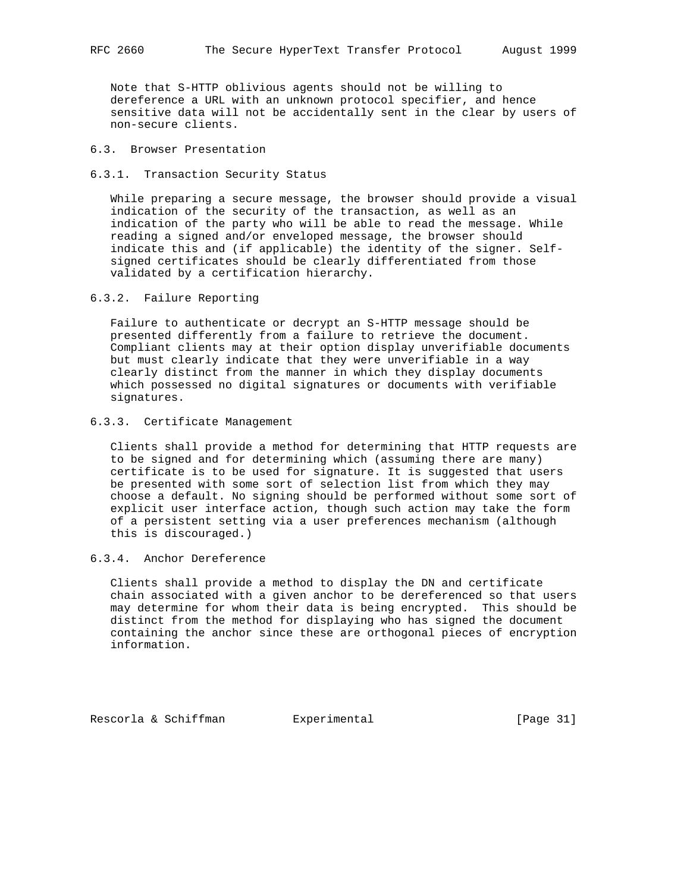Note that S-HTTP oblivious agents should not be willing to dereference a URL with an unknown protocol specifier, and hence sensitive data will not be accidentally sent in the clear by users of non-secure clients.

# 6.3. Browser Presentation

6.3.1. Transaction Security Status

 While preparing a secure message, the browser should provide a visual indication of the security of the transaction, as well as an indication of the party who will be able to read the message. While reading a signed and/or enveloped message, the browser should indicate this and (if applicable) the identity of the signer. Self signed certificates should be clearly differentiated from those validated by a certification hierarchy.

# 6.3.2. Failure Reporting

 Failure to authenticate or decrypt an S-HTTP message should be presented differently from a failure to retrieve the document. Compliant clients may at their option display unverifiable documents but must clearly indicate that they were unverifiable in a way clearly distinct from the manner in which they display documents which possessed no digital signatures or documents with verifiable signatures.

## 6.3.3. Certificate Management

 Clients shall provide a method for determining that HTTP requests are to be signed and for determining which (assuming there are many) certificate is to be used for signature. It is suggested that users be presented with some sort of selection list from which they may choose a default. No signing should be performed without some sort of explicit user interface action, though such action may take the form of a persistent setting via a user preferences mechanism (although this is discouraged.)

# 6.3.4. Anchor Dereference

 Clients shall provide a method to display the DN and certificate chain associated with a given anchor to be dereferenced so that users may determine for whom their data is being encrypted. This should be distinct from the method for displaying who has signed the document containing the anchor since these are orthogonal pieces of encryption information.

Rescorla & Schiffman Bxperimental [Page 31]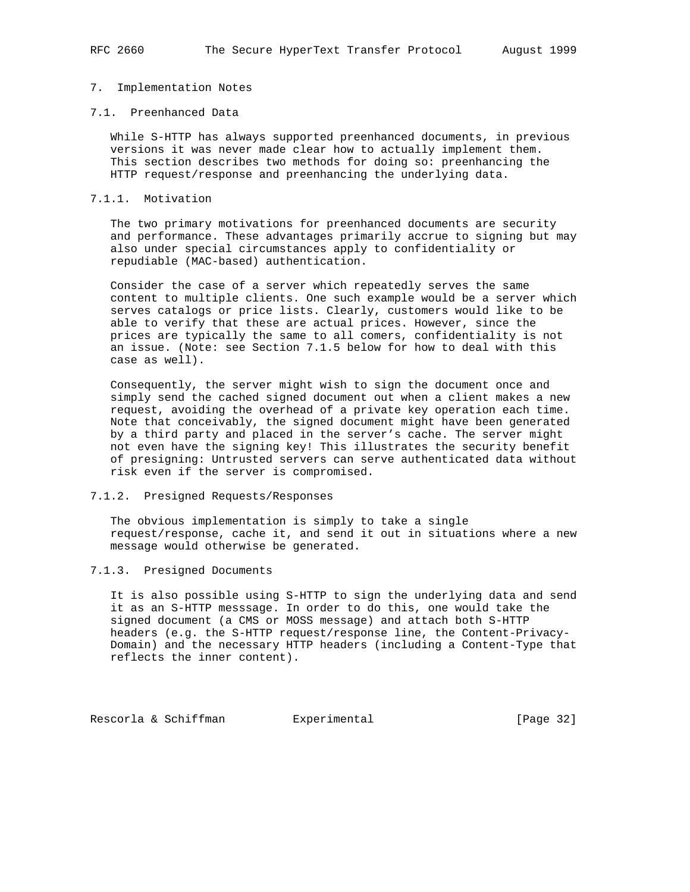## 7. Implementation Notes

## 7.1. Preenhanced Data

 While S-HTTP has always supported preenhanced documents, in previous versions it was never made clear how to actually implement them. This section describes two methods for doing so: preenhancing the HTTP request/response and preenhancing the underlying data.

## 7.1.1. Motivation

 The two primary motivations for preenhanced documents are security and performance. These advantages primarily accrue to signing but may also under special circumstances apply to confidentiality or repudiable (MAC-based) authentication.

 Consider the case of a server which repeatedly serves the same content to multiple clients. One such example would be a server which serves catalogs or price lists. Clearly, customers would like to be able to verify that these are actual prices. However, since the prices are typically the same to all comers, confidentiality is not an issue. (Note: see Section 7.1.5 below for how to deal with this case as well).

 Consequently, the server might wish to sign the document once and simply send the cached signed document out when a client makes a new request, avoiding the overhead of a private key operation each time. Note that conceivably, the signed document might have been generated by a third party and placed in the server's cache. The server might not even have the signing key! This illustrates the security benefit of presigning: Untrusted servers can serve authenticated data without risk even if the server is compromised.

## 7.1.2. Presigned Requests/Responses

 The obvious implementation is simply to take a single request/response, cache it, and send it out in situations where a new message would otherwise be generated.

# 7.1.3. Presigned Documents

 It is also possible using S-HTTP to sign the underlying data and send it as an S-HTTP messsage. In order to do this, one would take the signed document (a CMS or MOSS message) and attach both S-HTTP headers (e.g. the S-HTTP request/response line, the Content-Privacy- Domain) and the necessary HTTP headers (including a Content-Type that reflects the inner content).

Rescorla & Schiffman Bxperimental [Page 32]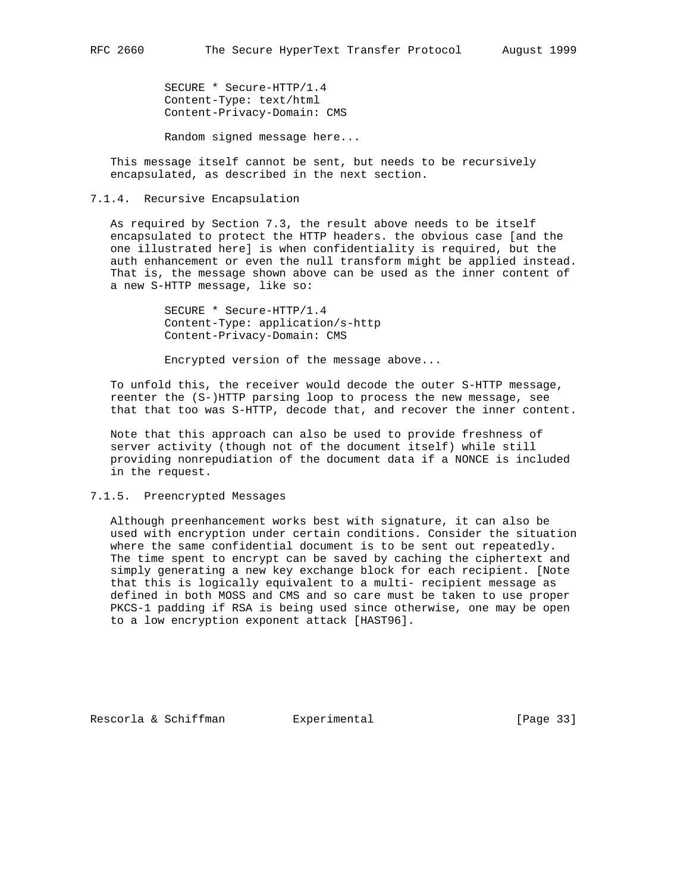SECURE \* Secure-HTTP/1.4 Content-Type: text/html Content-Privacy-Domain: CMS

Random signed message here...

 This message itself cannot be sent, but needs to be recursively encapsulated, as described in the next section.

7.1.4. Recursive Encapsulation

 As required by Section 7.3, the result above needs to be itself encapsulated to protect the HTTP headers. the obvious case [and the one illustrated here] is when confidentiality is required, but the auth enhancement or even the null transform might be applied instead. That is, the message shown above can be used as the inner content of a new S-HTTP message, like so:

> SECURE \* Secure-HTTP/1.4 Content-Type: application/s-http Content-Privacy-Domain: CMS

Encrypted version of the message above...

 To unfold this, the receiver would decode the outer S-HTTP message, reenter the (S-)HTTP parsing loop to process the new message, see that that too was S-HTTP, decode that, and recover the inner content.

 Note that this approach can also be used to provide freshness of server activity (though not of the document itself) while still providing nonrepudiation of the document data if a NONCE is included in the request.

# 7.1.5. Preencrypted Messages

 Although preenhancement works best with signature, it can also be used with encryption under certain conditions. Consider the situation where the same confidential document is to be sent out repeatedly. The time spent to encrypt can be saved by caching the ciphertext and simply generating a new key exchange block for each recipient. [Note that this is logically equivalent to a multi- recipient message as defined in both MOSS and CMS and so care must be taken to use proper PKCS-1 padding if RSA is being used since otherwise, one may be open to a low encryption exponent attack [HAST96].

Rescorla & Schiffman and Experimental [Page 33]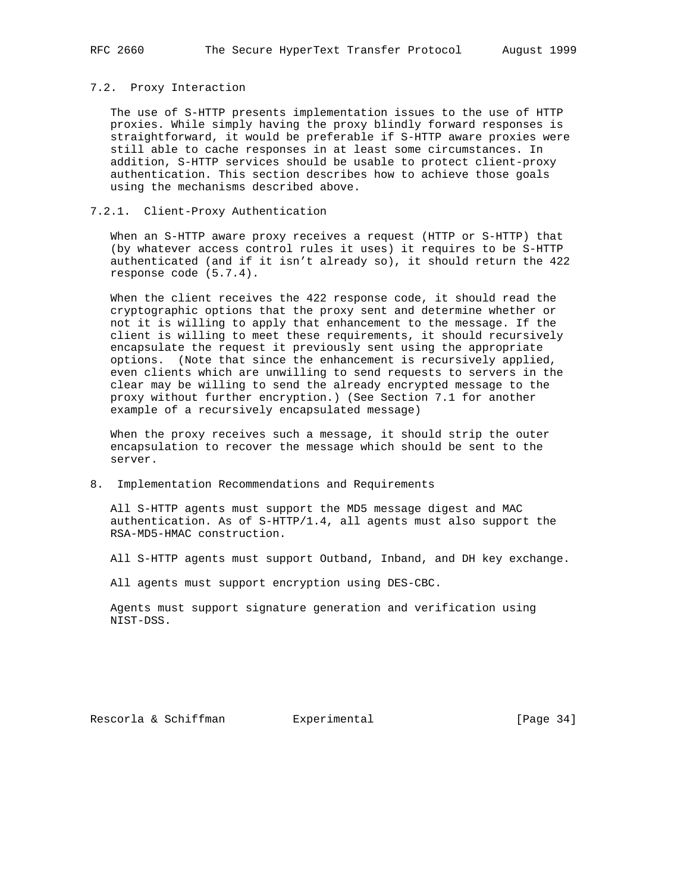#### 7.2. Proxy Interaction

 The use of S-HTTP presents implementation issues to the use of HTTP proxies. While simply having the proxy blindly forward responses is straightforward, it would be preferable if S-HTTP aware proxies were still able to cache responses in at least some circumstances. In addition, S-HTTP services should be usable to protect client-proxy authentication. This section describes how to achieve those goals using the mechanisms described above.

# 7.2.1. Client-Proxy Authentication

 When an S-HTTP aware proxy receives a request (HTTP or S-HTTP) that (by whatever access control rules it uses) it requires to be S-HTTP authenticated (and if it isn't already so), it should return the 422 response code (5.7.4).

 When the client receives the 422 response code, it should read the cryptographic options that the proxy sent and determine whether or not it is willing to apply that enhancement to the message. If the client is willing to meet these requirements, it should recursively encapsulate the request it previously sent using the appropriate options. (Note that since the enhancement is recursively applied, even clients which are unwilling to send requests to servers in the clear may be willing to send the already encrypted message to the proxy without further encryption.) (See Section 7.1 for another example of a recursively encapsulated message)

 When the proxy receives such a message, it should strip the outer encapsulation to recover the message which should be sent to the server.

#### 8. Implementation Recommendations and Requirements

 All S-HTTP agents must support the MD5 message digest and MAC authentication. As of S-HTTP/1.4, all agents must also support the RSA-MD5-HMAC construction.

All S-HTTP agents must support Outband, Inband, and DH key exchange.

All agents must support encryption using DES-CBC.

 Agents must support signature generation and verification using NIST-DSS.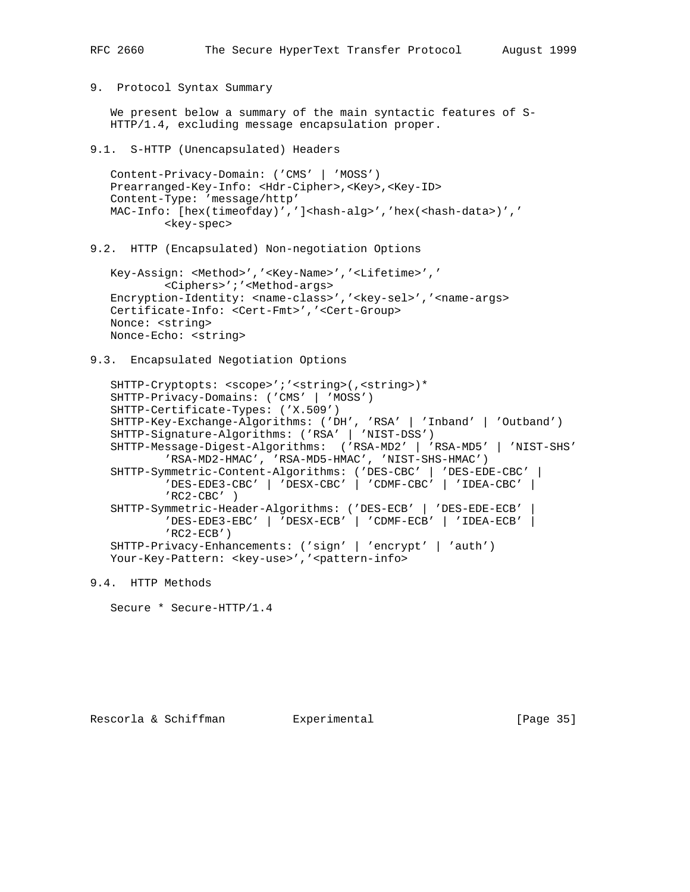9. Protocol Syntax Summary

We present below a summary of the main syntactic features of S-HTTP/1.4, excluding message encapsulation proper.

9.1. S-HTTP (Unencapsulated) Headers

 Content-Privacy-Domain: ('CMS' | 'MOSS') Prearranged-Key-Info: <Hdr-Cipher>,<Key>,<Key-ID> Content-Type: 'message/http' MAC-Info: [hex(timeofday)',']<hash-alg>','hex(<hash-data>)',' <key-spec>

9.2. HTTP (Encapsulated) Non-negotiation Options

```
 Key-Assign: <Method>','<Key-Name>','<Lifetime>','
         <Ciphers>';'<Method-args>
Encryption-Identity: <name-class>','<key-sel>','<name-args>
 Certificate-Info: <Cert-Fmt>','<Cert-Group>
 Nonce: <string>
 Nonce-Echo: <string>
```
9.3. Encapsulated Negotiation Options

```
 SHTTP-Cryptopts: <scope>';'<string>(,<string>)*
 SHTTP-Privacy-Domains: ('CMS' | 'MOSS')
 SHTTP-Certificate-Types: ('X.509')
 SHTTP-Key-Exchange-Algorithms: ('DH', 'RSA' | 'Inband' | 'Outband')
 SHTTP-Signature-Algorithms: ('RSA' | 'NIST-DSS')
 SHTTP-Message-Digest-Algorithms: ('RSA-MD2' | 'RSA-MD5' | 'NIST-SHS'
         'RSA-MD2-HMAC', 'RSA-MD5-HMAC', 'NIST-SHS-HMAC')
 SHTTP-Symmetric-Content-Algorithms: ('DES-CBC' | 'DES-EDE-CBC' |
         'DES-EDE3-CBC' | 'DESX-CBC' | 'CDMF-CBC' | 'IDEA-CBC' |
         'RC2-CBC' )
 SHTTP-Symmetric-Header-Algorithms: ('DES-ECB' | 'DES-EDE-ECB' |
         'DES-EDE3-EBC' | 'DESX-ECB' | 'CDMF-ECB' | 'IDEA-ECB' |
        'RC2-ECB')
 SHTTP-Privacy-Enhancements: ('sign' | 'encrypt' | 'auth')
Your-Key-Pattern: <key-use>','<pattern-info>
```
9.4. HTTP Methods

```
 Secure * Secure-HTTP/1.4
```
Rescorla & Schiffman and Experimental [Page 35]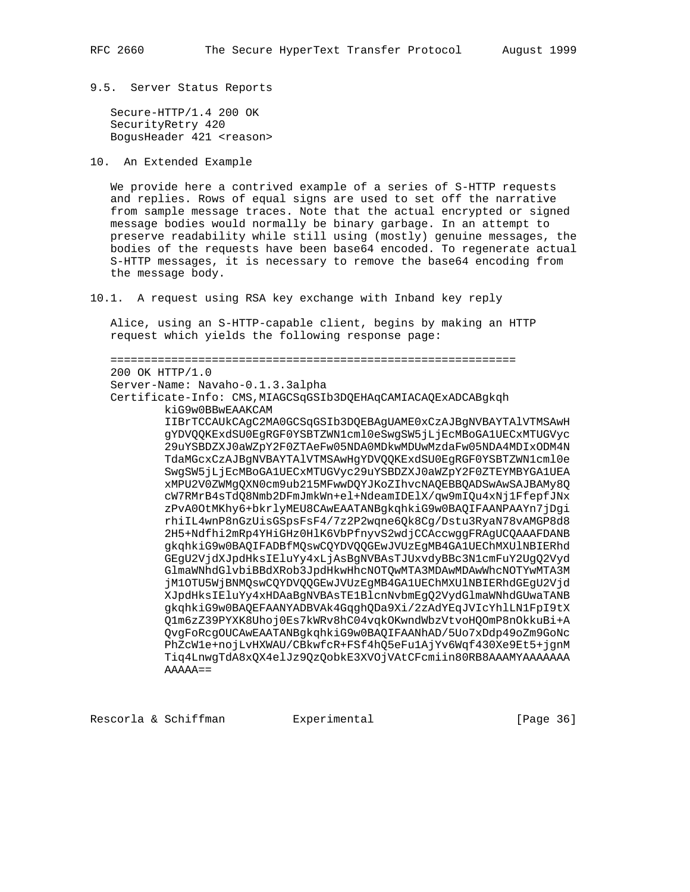#### 9.5. Server Status Reports

 Secure-HTTP/1.4 200 OK SecurityRetry 420 BogusHeader 421 <reason>

10. An Extended Example

 We provide here a contrived example of a series of S-HTTP requests and replies. Rows of equal signs are used to set off the narrative from sample message traces. Note that the actual encrypted or signed message bodies would normally be binary garbage. In an attempt to preserve readability while still using (mostly) genuine messages, the bodies of the requests have been base64 encoded. To regenerate actual S-HTTP messages, it is necessary to remove the base64 encoding from the message body.

10.1. A request using RSA key exchange with Inband key reply

 Alice, using an S-HTTP-capable client, begins by making an HTTP request which yields the following response page:

 ============================================================ 200 OK HTTP/1.0 Server-Name: Navaho-0.1.3.3alpha Certificate-Info: CMS,MIAGCSqGSIb3DQEHAqCAMIACAQExADCABgkqh kiG9w0BBwEAAKCAM IIBrTCCAUkCAgC2MA0GCSqGSIb3DQEBAgUAME0xCzAJBgNVBAYTAlVTMSAwH gYDVQQKExdSU0EgRGF0YSBTZWN1cml0eSwgSW5jLjEcMBoGA1UECxMTUGVyc 29uYSBDZXJ0aWZpY2F0ZTAeFw05NDA0MDkwMDUwMzdaFw05NDA4MDIxODM4N TdaMGcxCzAJBgNVBAYTAlVTMSAwHgYDVQQKExdSU0EgRGF0YSBTZWN1cml0e SwgSW5jLjEcMBoGA1UECxMTUGVyc29uYSBDZXJ0aWZpY2F0ZTEYMBYGA1UEA xMPU2V0ZWMgQXN0cm9ub215MFwwDQYJKoZIhvcNAQEBBQADSwAwSAJBAMy8Q cW7RMrB4sTdQ8Nmb2DFmJmkWn+el+NdeamIDElX/qw9mIQu4xNj1FfepfJNx zPvA0OtMKhy6+bkrlyMEU8CAwEAATANBgkqhkiG9w0BAQIFAANPAAYn7jDgi rhiIL4wnP8nGzUisGSpsFsF4/7z2P2wqne6Qk8Cg/Dstu3RyaN78vAMGP8d8 2H5+Ndfhi2mRp4YHiGHz0HlK6VbPfnyvS2wdjCCAccwggFRAgUCQAAAFDANB gkqhkiG9w0BAQIFADBfMQswCQYDVQQGEwJVUzEgMB4GA1UEChMXUlNBIERhd GEgU2VjdXJpdHksIEluYy4xLjAsBgNVBAsTJUxvdyBBc3N1cmFuY2UgQ2Vyd GlmaWNhdGlvbiBBdXRob3JpdHkwHhcNOTQwMTA3MDAwMDAwWhcNOTYwMTA3M jM1OTU5WjBNMQswCQYDVQQGEwJVUzEgMB4GA1UEChMXUlNBIERhdGEgU2Vjd XJpdHksIEluYy4xHDAaBgNVBAsTE1BlcnNvbmEgQ2VydGlmaWNhdGUwaTANB gkqhkiG9w0BAQEFAANYADBVAk4GqghQDa9Xi/2zAdYEqJVIcYhlLN1FpI9tX Q1m6zZ39PYXK8Uhoj0Es7kWRv8hC04vqkOKwndWbzVtvoHQOmP8nOkkuBi+A QvgFoRcgOUCAwEAATANBgkqhkiG9w0BAQIFAANhAD/5Uo7xDdp49oZm9GoNc PhZcW1e+nojLvHXWAU/CBkwfcR+FSf4hQ5eFu1AjYv6Wqf430Xe9Et5+jgnM Tiq4LnwgTdA8xQX4elJz9QzQobkE3XVOjVAtCFcmiin80RB8AAAMYAAAAAAA  $AAAA ==$ 

Rescorla & Schiffman and Experimental Controller (Page 36)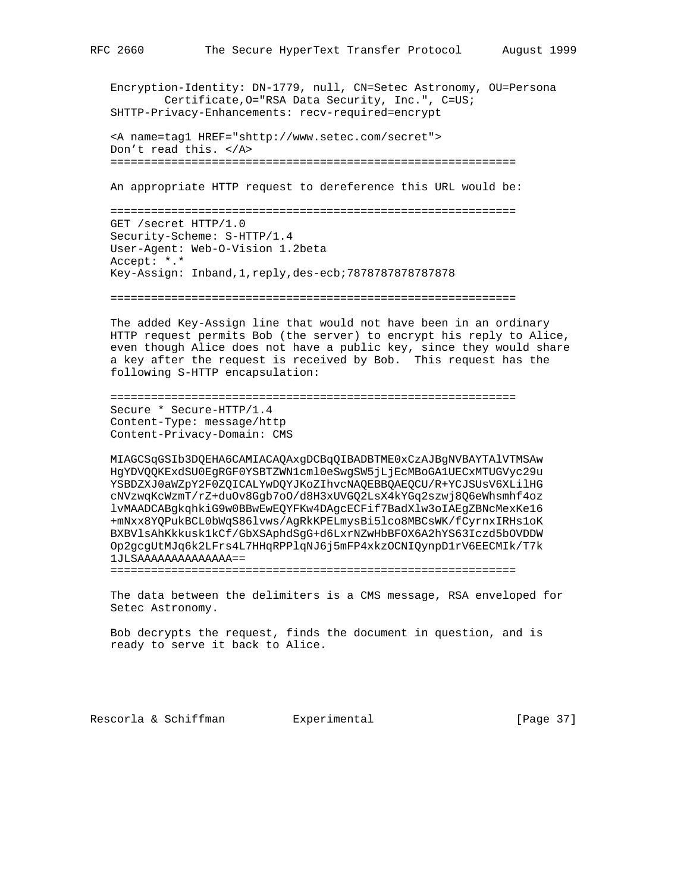Encryption-Identity: DN-1779, null, CN=Setec Astronomy, OU=Persona Certificate,O="RSA Data Security, Inc.", C=US; SHTTP-Privacy-Enhancements: recv-required=encrypt

```
 <A name=tag1 HREF="shttp://www.setec.com/secret">
 Don't read this. </A>
 ============================================================
```
An appropriate HTTP request to dereference this URL would be:

 ============================================================ GET /secret HTTP/1.0 Security-Scheme: S-HTTP/1.4 User-Agent: Web-O-Vision 1.2beta Accept: \*.\* Key-Assign: Inband,1,reply,des-ecb;7878787878787878

============================================================

 The added Key-Assign line that would not have been in an ordinary HTTP request permits Bob (the server) to encrypt his reply to Alice, even though Alice does not have a public key, since they would share a key after the request is received by Bob. This request has the following S-HTTP encapsulation:

```
 ============================================================
 Secure * Secure-HTTP/1.4
 Content-Type: message/http
 Content-Privacy-Domain: CMS
```
 MIAGCSqGSIb3DQEHA6CAMIACAQAxgDCBqQIBADBTME0xCzAJBgNVBAYTAlVTMSAw HgYDVQQKExdSU0EgRGF0YSBTZWN1cml0eSwgSW5jLjEcMBoGA1UECxMTUGVyc29u YSBDZXJ0aWZpY2F0ZQICALYwDQYJKoZIhvcNAQEBBQAEQCU/R+YCJSUsV6XLilHG cNVzwqKcWzmT/rZ+duOv8Ggb7oO/d8H3xUVGQ2LsX4kYGq2szwj8Q6eWhsmhf4oz lvMAADCABgkqhkiG9w0BBwEwEQYFKw4DAgcECFif7BadXlw3oIAEgZBNcMexKe16 +mNxx8YQPukBCL0bWqS86lvws/AgRkKPELmysBi5lco8MBCsWK/fCyrnxIRHs1oK BXBVlsAhKkkusk1kCf/GbXSAphdSgG+d6LxrNZwHbBFOX6A2hYS63Iczd5bOVDDW Op2gcgUtMJq6k2LFrs4L7HHqRPPlqNJ6j5mFP4xkzOCNIQynpD1rV6EECMIk/T7k 1JLSAAAAAAAAAAAAAA==

============================================================

 The data between the delimiters is a CMS message, RSA enveloped for Setec Astronomy.

 Bob decrypts the request, finds the document in question, and is ready to serve it back to Alice.

Rescorla & Schiffman and Experimental [Page 37]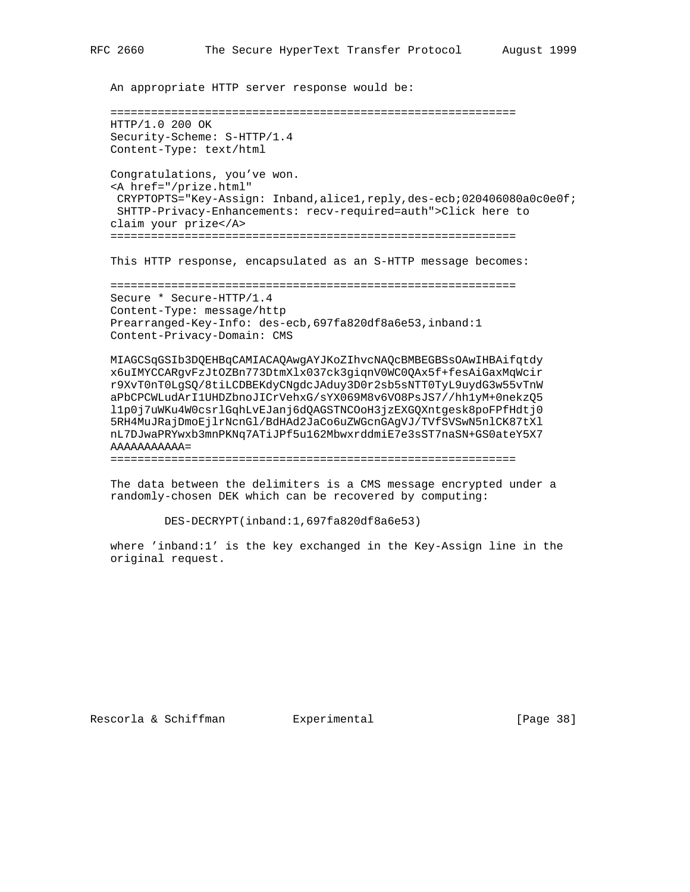An appropriate HTTP server response would be:

```
 ============================================================
 HTTP/1.0 200 OK
 Security-Scheme: S-HTTP/1.4
 Content-Type: text/html
 Congratulations, you've won.
 <A href="/prize.html"
 CRYPTOPTS="Key-Assign: Inband,alice1,reply,des-ecb;020406080a0c0e0f;
 SHTTP-Privacy-Enhancements: recv-required=auth">Click here to
 claim your prize</A>
 ============================================================
 This HTTP response, encapsulated as an S-HTTP message becomes:
```
 ============================================================ Secure \* Secure-HTTP/1.4 Content-Type: message/http Prearranged-Key-Info: des-ecb,697fa820df8a6e53,inband:1 Content-Privacy-Domain: CMS

 MIAGCSqGSIb3DQEHBqCAMIACAQAwgAYJKoZIhvcNAQcBMBEGBSsOAwIHBAifqtdy x6uIMYCCARgvFzJtOZBn773DtmXlx037ck3giqnV0WC0QAx5f+fesAiGaxMqWcir r9XvT0nT0LgSQ/8tiLCDBEKdyCNgdcJAduy3D0r2sb5sNTT0TyL9uydG3w55vTnW aPbCPCWLudArI1UHDZbnoJICrVehxG/sYX069M8v6VO8PsJS7//hh1yM+0nekzQ5 l1p0j7uWKu4W0csrlGqhLvEJanj6dQAGSTNCOoH3jzEXGQXntgesk8poFPfHdtj0 5RH4MuJRajDmoEjlrNcnGl/BdHAd2JaCo6uZWGcnGAgVJ/TVfSVSwN5nlCK87tXl nL7DJwaPRYwxb3mnPKNq7ATiJPf5u162MbwxrddmiE7e3sST7naSN+GS0ateY5X7 AAAAAAAAAAA=

============================================================

 The data between the delimiters is a CMS message encrypted under a randomly-chosen DEK which can be recovered by computing:

DES-DECRYPT(inband:1,697fa820df8a6e53)

 where 'inband:1' is the key exchanged in the Key-Assign line in the original request.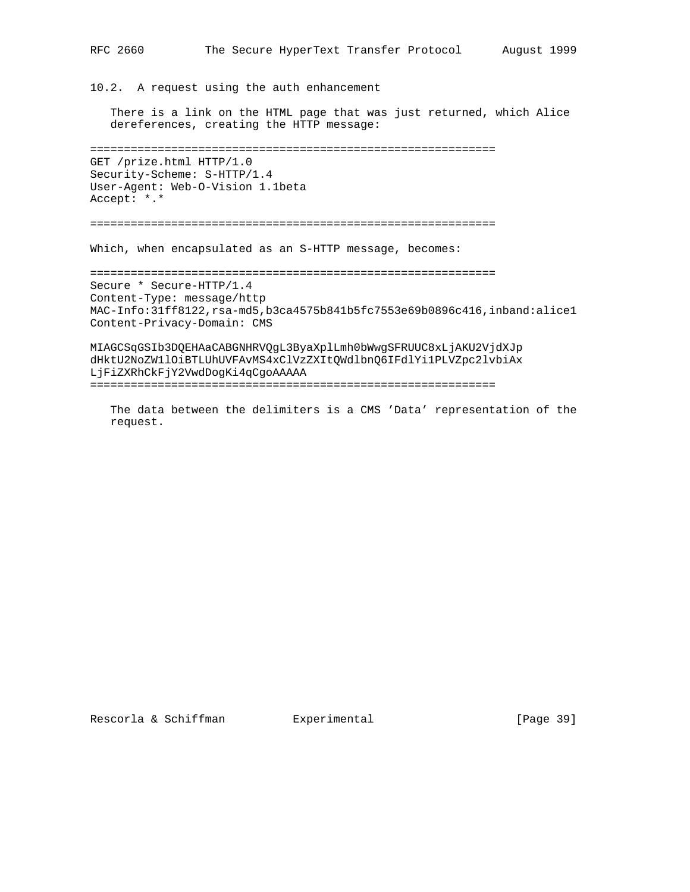10.2. A request using the auth enhancement

 There is a link on the HTML page that was just returned, which Alice dereferences, creating the HTTP message:

============================================================

GET /prize.html HTTP/1.0 Security-Scheme: S-HTTP/1.4 User-Agent: Web-O-Vision 1.1beta Accept: \*.\*

============================================================

Which, when encapsulated as an S-HTTP message, becomes:

============================================================ Secure \* Secure-HTTP/1.4 Content-Type: message/http MAC-Info:31ff8122,rsa-md5,b3ca4575b841b5fc7553e69b0896c416,inband:alice1 Content-Privacy-Domain: CMS

MIAGCSqGSIb3DQEHAaCABGNHRVQgL3ByaXplLmh0bWwgSFRUUC8xLjAKU2VjdXJp dHktU2NoZW1lOiBTLUhUVFAvMS4xClVzZXItQWdlbnQ6IFdlYi1PLVZpc2lvbiAx LjFiZXRhCkFjY2VwdDogKi4qCgoAAAAA

============================================================

 The data between the delimiters is a CMS 'Data' representation of the request.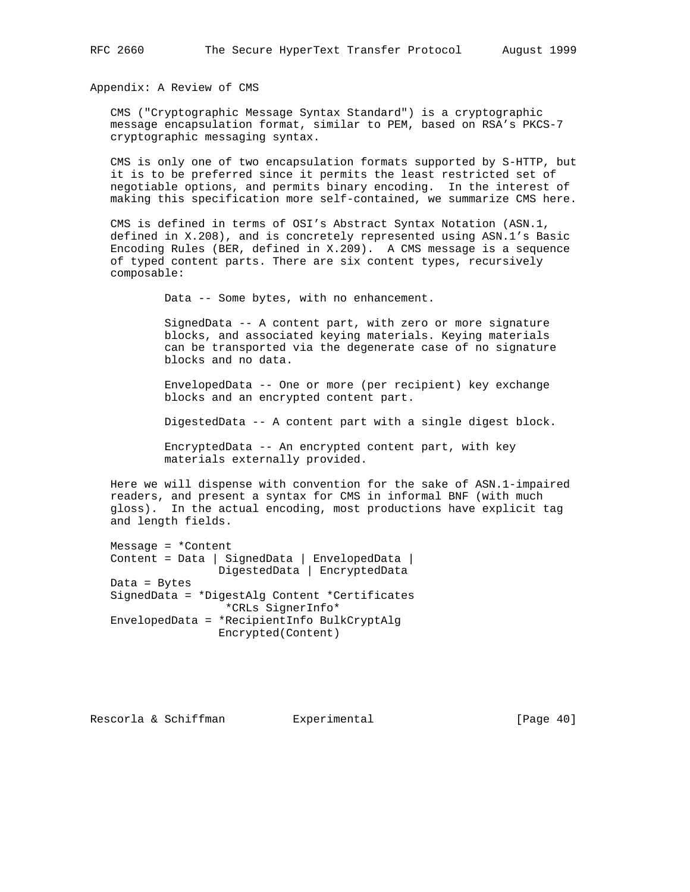Appendix: A Review of CMS

 CMS ("Cryptographic Message Syntax Standard") is a cryptographic message encapsulation format, similar to PEM, based on RSA's PKCS-7 cryptographic messaging syntax.

 CMS is only one of two encapsulation formats supported by S-HTTP, but it is to be preferred since it permits the least restricted set of negotiable options, and permits binary encoding. In the interest of making this specification more self-contained, we summarize CMS here.

 CMS is defined in terms of OSI's Abstract Syntax Notation (ASN.1, defined in X.208), and is concretely represented using ASN.1's Basic Encoding Rules (BER, defined in X.209). A CMS message is a sequence of typed content parts. There are six content types, recursively composable:

Data -- Some bytes, with no enhancement.

 SignedData -- A content part, with zero or more signature blocks, and associated keying materials. Keying materials can be transported via the degenerate case of no signature blocks and no data.

 EnvelopedData -- One or more (per recipient) key exchange blocks and an encrypted content part.

DigestedData -- A content part with a single digest block.

 EncryptedData -- An encrypted content part, with key materials externally provided.

 Here we will dispense with convention for the sake of ASN.1-impaired readers, and present a syntax for CMS in informal BNF (with much gloss). In the actual encoding, most productions have explicit tag and length fields.

 Message = \*Content Content = Data | SignedData | EnvelopedData | DigestedData | EncryptedData Data = Bytes SignedData = \*DigestAlg Content \*Certificates \*CRLs SignerInfo\* EnvelopedData = \*RecipientInfo BulkCryptAlg Encrypted(Content)

Rescorla & Schiffman and Experimental [Page 40]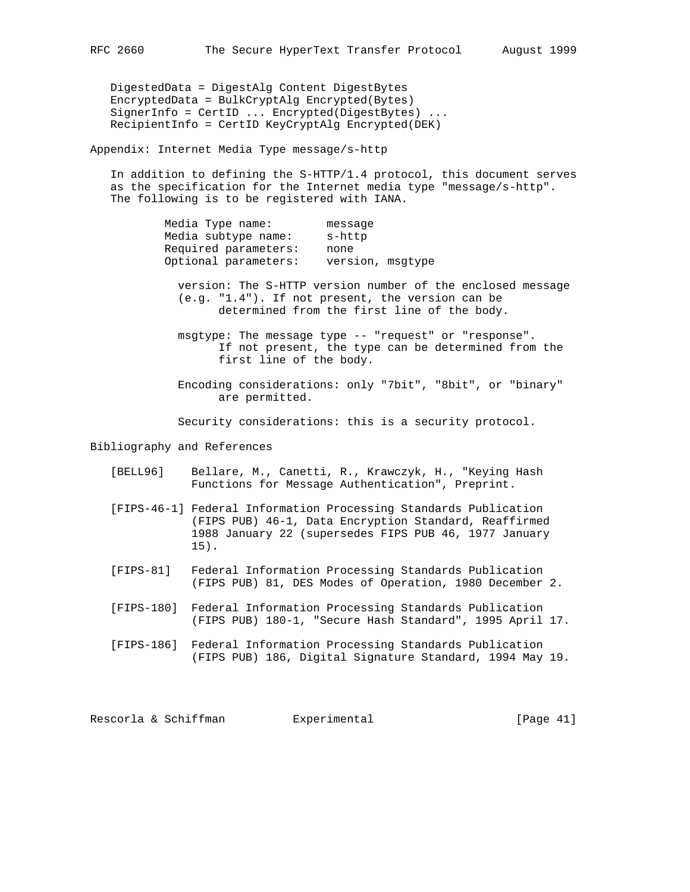DigestedData = DigestAlg Content DigestBytes EncryptedData = BulkCryptAlg Encrypted(Bytes) SignerInfo = CertID ... Encrypted(DigestBytes) ... RecipientInfo = CertID KeyCryptAlg Encrypted(DEK)

Appendix: Internet Media Type message/s-http

 In addition to defining the S-HTTP/1.4 protocol, this document serves as the specification for the Internet media type "message/s-http". The following is to be registered with IANA.

| Media Type name:     | message          |  |
|----------------------|------------------|--|
| Media subtype name:  | s-http           |  |
| Required parameters: | none             |  |
| Optional parameters: | version, msqtype |  |

 version: The S-HTTP version number of the enclosed message (e.g. "1.4"). If not present, the version can be determined from the first line of the body.

 msgtype: The message type -- "request" or "response". If not present, the type can be determined from the first line of the body.

 Encoding considerations: only "7bit", "8bit", or "binary" are permitted.

Security considerations: this is a security protocol.

Bibliography and References

- [BELL96] Bellare, M., Canetti, R., Krawczyk, H., "Keying Hash Functions for Message Authentication", Preprint.
- [FIPS-46-1] Federal Information Processing Standards Publication (FIPS PUB) 46-1, Data Encryption Standard, Reaffirmed 1988 January 22 (supersedes FIPS PUB 46, 1977 January 15).
- [FIPS-81] Federal Information Processing Standards Publication (FIPS PUB) 81, DES Modes of Operation, 1980 December 2.
- [FIPS-180] Federal Information Processing Standards Publication (FIPS PUB) 180-1, "Secure Hash Standard", 1995 April 17.
- [FIPS-186] Federal Information Processing Standards Publication (FIPS PUB) 186, Digital Signature Standard, 1994 May 19.

Rescorla & Schiffman and Experimental [Page 41]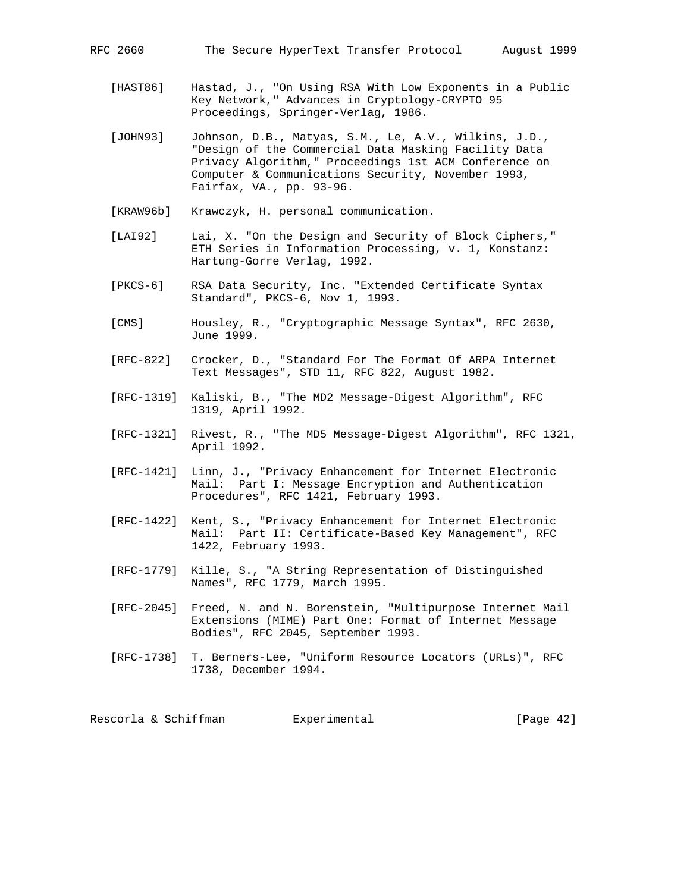- [HAST86] Hastad, J., "On Using RSA With Low Exponents in a Public Key Network," Advances in Cryptology-CRYPTO 95 Proceedings, Springer-Verlag, 1986.
- [JOHN93] Johnson, D.B., Matyas, S.M., Le, A.V., Wilkins, J.D., "Design of the Commercial Data Masking Facility Data Privacy Algorithm," Proceedings 1st ACM Conference on Computer & Communications Security, November 1993, Fairfax, VA., pp. 93-96.
- [KRAW96b] Krawczyk, H. personal communication.
- [LAI92] Lai, X. "On the Design and Security of Block Ciphers," ETH Series in Information Processing, v. 1, Konstanz: Hartung-Gorre Verlag, 1992.
- [PKCS-6] RSA Data Security, Inc. "Extended Certificate Syntax Standard", PKCS-6, Nov 1, 1993.
- [CMS] Housley, R., "Cryptographic Message Syntax", RFC 2630, June 1999.
- [RFC-822] Crocker, D., "Standard For The Format Of ARPA Internet Text Messages", STD 11, RFC 822, August 1982.
- [RFC-1319] Kaliski, B., "The MD2 Message-Digest Algorithm", RFC 1319, April 1992.
- [RFC-1321] Rivest, R., "The MD5 Message-Digest Algorithm", RFC 1321, April 1992.
- [RFC-1421] Linn, J., "Privacy Enhancement for Internet Electronic Mail: Part I: Message Encryption and Authentication Procedures", RFC 1421, February 1993.
- [RFC-1422] Kent, S., "Privacy Enhancement for Internet Electronic Mail: Part II: Certificate-Based Key Management", RFC 1422, February 1993.
- [RFC-1779] Kille, S., "A String Representation of Distinguished Names", RFC 1779, March 1995.
- [RFC-2045] Freed, N. and N. Borenstein, "Multipurpose Internet Mail Extensions (MIME) Part One: Format of Internet Message Bodies", RFC 2045, September 1993.
- [RFC-1738] T. Berners-Lee, "Uniform Resource Locators (URLs)", RFC 1738, December 1994.

Rescorla & Schiffman and Experimental (Experimental [Page 42]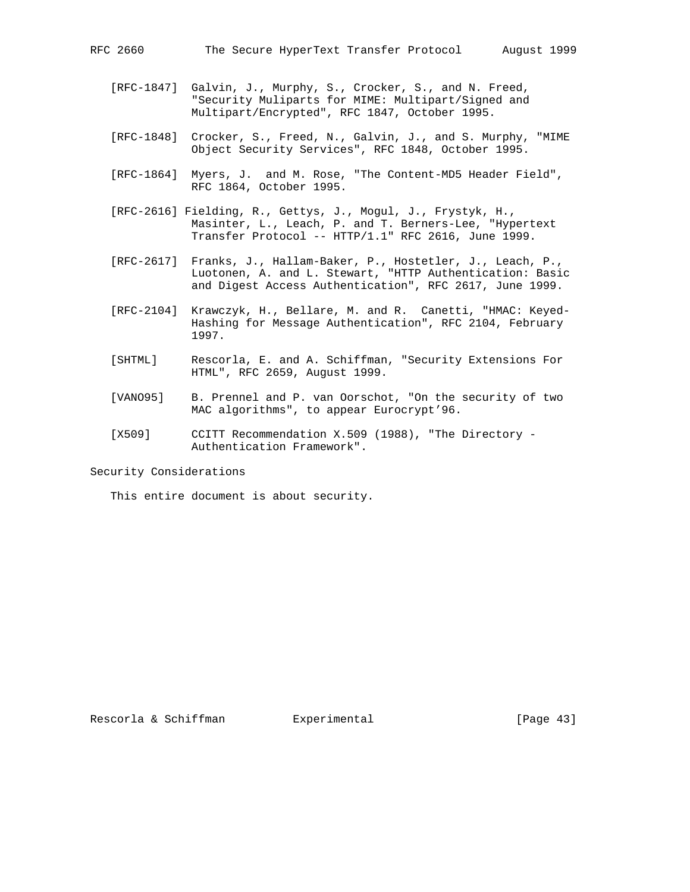- [RFC-1847] Galvin, J., Murphy, S., Crocker, S., and N. Freed, "Security Muliparts for MIME: Multipart/Signed and Multipart/Encrypted", RFC 1847, October 1995.
- [RFC-1848] Crocker, S., Freed, N., Galvin, J., and S. Murphy, "MIME Object Security Services", RFC 1848, October 1995.
- [RFC-1864] Myers, J. and M. Rose, "The Content-MD5 Header Field", RFC 1864, October 1995.
- [RFC-2616] Fielding, R., Gettys, J., Mogul, J., Frystyk, H., Masinter, L., Leach, P. and T. Berners-Lee, "Hypertext Transfer Protocol -- HTTP/1.1" RFC 2616, June 1999.
- [RFC-2617] Franks, J., Hallam-Baker, P., Hostetler, J., Leach, P., Luotonen, A. and L. Stewart, "HTTP Authentication: Basic and Digest Access Authentication", RFC 2617, June 1999.
- [RFC-2104] Krawczyk, H., Bellare, M. and R. Canetti, "HMAC: Keyed- Hashing for Message Authentication", RFC 2104, February 1997.
- [SHTML] Rescorla, E. and A. Schiffman, "Security Extensions For HTML", RFC 2659, August 1999.
- [VANO95] B. Prennel and P. van Oorschot, "On the security of two MAC algorithms", to appear Eurocrypt'96.
- [X509] CCITT Recommendation X.509 (1988), "The Directory Authentication Framework".

Security Considerations

This entire document is about security.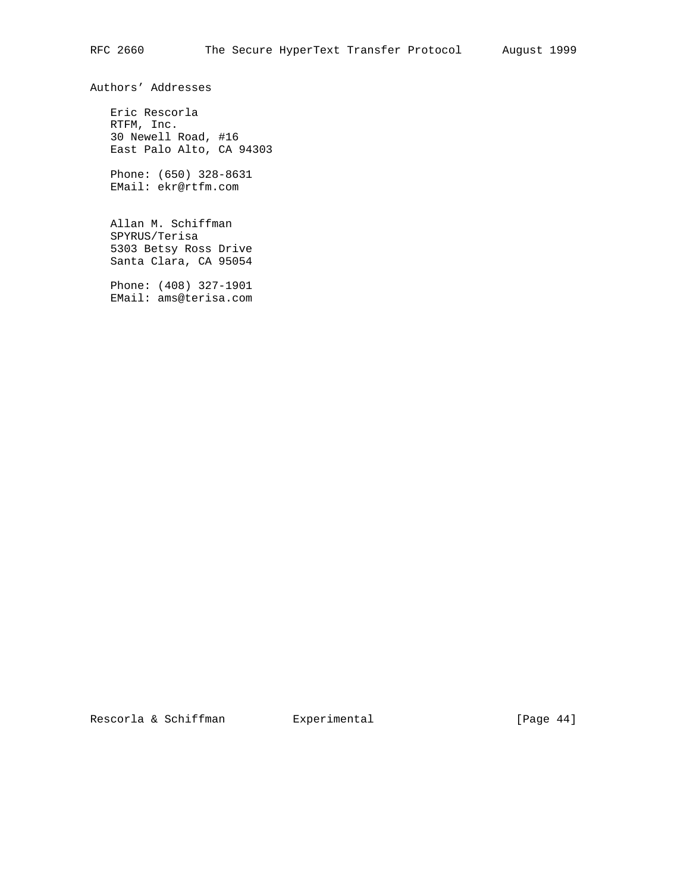Authors' Addresses

 Eric Rescorla RTFM, Inc. 30 Newell Road, #16 East Palo Alto, CA 94303

 Phone: (650) 328-8631 EMail: ekr@rtfm.com

 Allan M. Schiffman SPYRUS/Terisa 5303 Betsy Ross Drive Santa Clara, CA 95054

 Phone: (408) 327-1901 EMail: ams@terisa.com